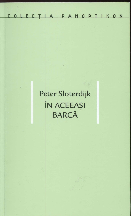COLECTIA PANOPTIKON

# Peter Sloterdijk ÎN ACEEAȘI **BARCĂ**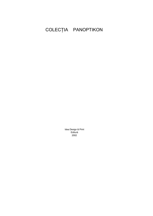## COLECȚIA PANOPTIKON

Idea Design & Print Editură 2002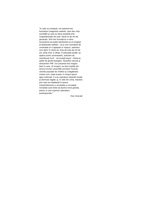"în cele ce urmează, voi examina trei formațiuni imaginare realiste, care dau chip societătii și care au făcut posibilă arta coapartenenței de sute, dacă nu de mii de generații. Sînt trei formațiuni a căror succesiune se poate reprezenta ca un progres al abstractiei realiste - ca și cum conceptul de umanitate ar fi așteptat în nisipuri, asemeni unui djinn în sticla sa, timp de sute de mii de ani, pînă cînd, în sfirsit, în perioada axială, au apărut primii universalisti, suficient de nechibzuiți încît... să scoată dopul - dîndu-le astfel de gîndit teologilor, filosofilor istoriei și directorilor FMI. Voi prezenta trei imagini: felul în care, la început, au fost cioplite din lemnul brutal umanității primelor hoarde vechile populații de vînători și culegătoare; modul cum, după aceea, în timpul epocii agro-culturale, li s-au suprapus imperiile locale și domnule regale; și, în cele din urmă, maniera prin care se instalează în epoca industrialismului o societate a circulatiei mondiale care tinde să dizolve orice granițe, pentru a crea raporturi planetare postimperiale."

Peter Sloterdijk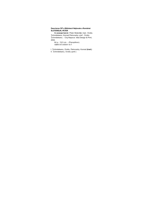### Descrierea CIP a Bibliotecii Naționale a României<br>SLOTERDIJK, PETER

in aceeasi barcă / Peter Sloterdijk; trad.: Ovidiu<br>Tichmdeleanu, Konrad Petrovszky; pref.: Ovidiu<br>Tichmdeleanu. - Cluj-Napoca: Idea Design & Print,<br>2002.

64 p.; 19,5 cm. - (Panoptikon). ISBN 973-85541-8-7

I. Țichindeleanu, Ovidiu, Petrovszky, Konrad (trad.) II. Tichindeleanu, Ovidiu (pref.)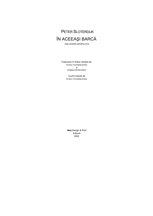

ESEU DESPRE HIPERPOLITICĂ

Traducere în limba română de OVIDIU ȚICHINDELEANU Şi KONRAD PETROVSZKY

> Cuvînt înainte de OVIDIU ȚICHINDELEANU

**Idea** Design & Print Editură 2002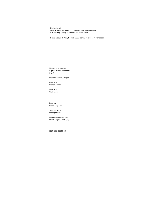Titlul original:<br>Peter Sloterdijk: im selben Boot, Versuch über die Hyperpolitik © Suhrkamp Verlag, Frankfurt am Main, 1993

© Idea Design & Print, Editură, 2002, pentru versiunea românească

REDACTORI DE COLECȚIE Ciprian Mihali Alexandru Polgâr

LECTOR Alexandru Polgâr

**REDACTOR** Ciprian Mihali

CORECTOR Virgil Leon

**COPERTA** Eugen Coşorean

TEHNOREDACTOR Lenkejanitsek

CONCEPȚIE GRAFICĂ ȘI TIPAR Idea Design & Print, Cluj

ISBN 973-85541-8-7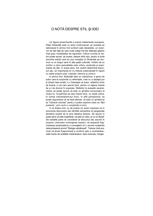### O NOTĂ DESPRE STIL ȘI IDEI

Ca figură proeminentă a scenei intelectuale europene, Peter Sloterdijk este un autor controversat, iar aceasta se datorează în primul rind scriiturii sale deosebite, un rezervor de idei față de care mulți colegi într-ale reflecției găsesc însă greu modalitatea de raportare. Cîteva cuvinte ar trebui poate spuse, de aceea, despre stilul său, pentru a evita anumite reacții care au pus recepția lui Sloterdijk pe drumuri cu un singur sens în alte spații culturale. Vorbim de un scriitor a cărui specialitate este critica, producția și exprimarea de idei. In acest sens, trei vectori determină discursul său, iar importanța lor nu trebuie subevaluată în raport cu ideile propriu-zise: colecția, retorica și umorul.

In primul rînd, Sloterdijk este un colecționar, e genul de autor care te surprinde cu referințele, care nu a depășit pur și simplu faza anală, ci o folosește ca autor, nelăsînd nimic să treacă, e cel care adună totul, pentru a-l digera înainte de a-i da drumul în expresie. Referitor la această caracteristică, se poate spune că este un gînditor-consumator la rîndul lui, încadrîndu-se deci foarte bine, cu toată critica, în lumea industrialismului tîrziu. în altă perspectivă, se poate argumenta că se lasă afectat, că este un gînditorce se "intoxică voluntar" pentru a putea exprima ceea ce, fără pretenții, vom numi o conștiință a lumii.

în al doilea rînd, nu de puține ori avem impresia că în economia discursului său familiile semantice ori jargoanele tematice poartă de la sine ideatica textului. Se spune în acest sens că este superficial, că este un retor, si nu un filosof. De cealaltă parte se consideră că discursul său asumă în propria-i articulare contingenta realului, că respectă fragmentarea postmoderna a cunoasterii ori o anume mostenire nietzscheeană privind "filologia sănătoasă". Trebuie însă precizat că tinuta fragmentară a scriiturii sale e contrabalansată mereu de ambițiile metanarative. Spre exemplu, trilogia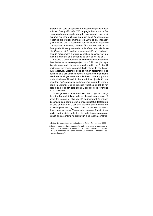Sferelor, din care sînt publicate deocamdată primele două volume, Bule și Globuri (1700 de pagini împreună), a fost prezentată ca o întreprindere prin care autorul dorește să exprime nici mai mult, nici mai puțin decît "fundamentele filosofice ale istoriei umanitătii de 2500 de ani încoace" si cu această ocazie rescrierea numitei istorii cu mijloacele conceptuale adecvate, oamenii fiind conceptualizați ca fiinte producătoare și dependente de sfere, bule, bile, bilute etc. (Acestei linii îi apartine și eseul de fată, un scurt exercițiu de reexprimare a istoriei constituirii și conservării politice a umanității pe o perioadă de zeci de mii de ani.)

Această a doua trăsătură se combină însă fericit cu cel de-al treilea vector de compoziție: umorul. Aici reacțiile negative vin în general din partea snobilor, criticii lui Sloterdijk bazîndu-și reproșurile pe cu totul alte elemente ale discursului acestuia. Sloterdijk scrie cu umor, folosindu-se de abilitățile sale scriitoricești pentru a activa cele mai diferite roluri ale limbii germane, de la limbajul comun și pînă la pretențiozitatea filosofică, birocratică ori juridică<sup>2</sup>. Mai important însă, productia ideilor e strîns legată de umor și ironie la Sloterdijk, tip de practică filosofică ciudat de rar, dacă e să ne gîndim spre exemplu cîți filosofi se revendică de la Nietzsche.

Sloterdijk este, așadar, un filosof care nu ignoră condiția de autor, ba profită din plin de ea, deseori exagerează; că acești trei vectori stilistici sînt atît de importanți în ordinea discursului său poate deranja, însă rezultatul desfășurării lor este de multe ori o scriitură prolifică, abundînd de idei (Critica rațiunii cinice și Sferele fiind probabil cele mai bune dovezi în acest sens). Textele sale conturează însă cît mai multe tipuri posibile de lectori, de unde dezavuarea profesionistilor, care întîmpină greutăti în a se raporta construc-

<sup>1.</sup> Extras din prezentarea planului editorial al Editurii Suhrkamp pe 1999.

<sup>2.</sup> In acest sens, o aplicatie spumoasă a ideilor prezentate în acest eseu a fost publicată în revista Balkon, nr. 10, 2002: "Emisari ai violentei. Despre metafizica filmelor de acțiune. Cu privire la Terminator 2, de James Cameron"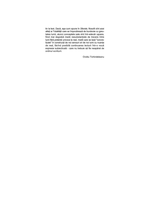tiv la text. Dacă, așa cum spune în Sferele, filosofii sînt acei atleți ai Totalității care se împovărează de bunăvoie cu greutatea lumii, atunci conceptele sale sînt într-adevăr ușoare, fiind mai degrabă medii nesubstanțiale de trecere între lumi fără pretenții univoce la real, medii care se lasă "concretizate" în construcții de noi sensuri ori de noi lumi cu nuanțe de real, făcînd posibilă continuarea lecturii într-o nouă expresie subiectivală - care nu trebuie să fie neapărat de ordinul scriiturii.

Ovidiu Tichindeleanu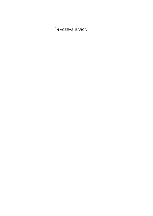ÎN ACEEAȘI BARCĂ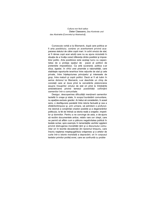Cultura non fecit saltus Dieter Claessens, Das Konkrete und das Abstrakte [Concretul și Abstractul]

Cunoscuta vorbă a lui Bismarck, după care politica ar fi arta posibilului, conține un avertisment privind acapararea statului de către copiii mari. In ochii omului de stat, ar fi rămas copii acei adulți care nu au ajuns niciodată în situația de a învăța corect diferența dintre posibilul și imposibilul politic. Arta posibilului este același lucru cu capacitatea de a proteja spațiul de joacă al politicii de pretențiile imposibilului. Ca artă suverană, politica s-ar situa, așadar, în vîrful unei piramide a raționalității, care stabilește raporturile ierarhice între rațiunile de stat și cele private, între înțelepciunea principelui și interesele de grup, între maturii și copiii politici. Dacă ar fi să luăm în serios dictonul lui Bismarck, s-ar deschide un cîmp de conotatii care ar duce pînă la cercetările platoniciene asupra însusirilor omului de stat ori pînă la întrebările aristoteliciene privind temeiul posibilității coființării oamenilor într-o comunitate.

Desigur, descoperirea dificultății menținerii oamenilor laolaltă în orașe și state, în scopul bunăstării comunitare, nu apartine exclusiv grecilor. Ar trebui să considerăm, în acest sens, o desfășurare paralelă între istoria factuală și cea a sfidărilortimpului și, prin urmare, să admitem o profunzime istorică a conștiinței crizelor posibile și a degenerărilor politicului, la fel de întinsă ca istoria reală a orașelor, imperiilor și domniilor. Pentru a ne convinge de asta, e de-ajuns să recitim documentele antice, relativ rare ce-i drept, care ne permit să aflăm cum a pătruns negativitatea politică în textele scrise; spre exemplu în lamentațiile vechilor egipteni privind distrugerea moralității tării și a discursului comunitar ori în teoriile decadentei din taoismul timpuriu, care înscriu nasterea mestesugăritului orăsenesc și a artelor de curte într-o istorie mondială a depravării; ori în corpusul textelor primilor profeti evrei, care se confruntă cu proble-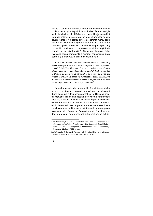ma de a condiționa un întreg popor prin ideile comuniunii cu Dumnezeu și a faptului de a fi ales. Printre tradițiile vechii iudaități, mitul lui Babel are o semnificație deosebită, în lunga istorie a interpretărilor și a influențelor acestei scurte relatări din Facerea [11], s-a exprimat mereu sentimentul că mitul constructiei turnului articulează ceva din caracterul politic al conditio humana din timpul imperiilor si civilizatiilor antice-ca o repetarea mitului alungării din paradis la un nivel politic<sup>1</sup>. Catastrofa Turnului Babel relatează scena primordială a pierderii consensului dintre oameni și a începutului erei multiplicității rele:

6. Și a zis Domnul: "lată, toți sînt de un neam și o limbă au și iată ce s-au apucat să facă și nu se vor opri de la ceea ce și-au pus in gînd să facă. 7. Haidem, dar, să Ne pogorim și să amestecăm limbile lor, ca să nu se mai înțeleagă unul cu altul". 8. Și i-a împrăștiat Domnul de acolo în tot pămîntul și au încetat de a mai zidi cetatea și turnul. 9. De aceea s-a numit cetatea aceea Babilon, pentru că acolo a amestecat Domnul limbile a tot pămîntul și de acolo i-a împrăștiat Domnul pe toată fața pămîntului<sup>2</sup>.

în lumina acestui document mitic, împrăștierea și dispersarea rasei umane aparca fiind rezultatul unei intervenții divine împotriva puterii unei umanități unite. Rațiunea acestei intervenții trebuie să fi fost atît de evidentă pentru vechii interpreti ai mitului. încît de-abia se simte lipsa unei motivări explicite în textul scris: lumea biblică este un domeniu al eticii diferențierii care nu permite o prea mare asemănare - mai ales între un Dumnezeu atotputernic și o atotputernică umanitate. De aceea, împrăștierea din Babel este pe deplin motivată: este o măsură antimimetica, un act de

<sup>1.</sup> Cf. Arno Borst, Der Turmbau von Babel. Geschichte aer Meinungen über Ursprünge und Vielfalt der Sprachen und Völker [Constructia Turnului Babel. Istoria opiniilor asupra originilor și multitudinii limbilor și popoarelor], 3 volume, Stuttgart, 1957 și urm.

<sup>2.</sup> Biblia sau Sfinta Scriptură, Facerea 11, 6-9, Institutul Biblic și de Misiune al Bisericii Ortodoxe Române, București, 1982. (N. tr.)

 $12$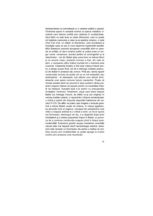dezasemănare ce echivalează cu o castrare politică a speciei. Omenirea apare în această lumină ca specia metafizic virulentă care trebuie umilită prin căderea în multiplicitate. Zeul biblic nu este doar un sadic difuzionist, care nu poate să îngăduie coeziunea a ceea ce-și aparține reciproc, ci este chiar mai mult, un stăpîn al discretului, care scindează și împrăștie ceea ce era în mod nepermis îngrămădit laolaltă. Mitul Babelului prezintă alungarea umanității dintr-un paradis al unității, al cărui conținut politic ar putea avea un singur nume: consensus, acordul perfect al convingerilor și al obiectivelor - cei din Babel știau prea bine ce trebuia făcut și ce anume voiau; proiectul turnului a fost, din cele ce știm, o campanie către înalturi purtată de o manieră prea unanimă. Catastrofa limbilor a fost doar mijlocul folosit pentru a atinge scopul final, cel de a distruge unitatea poporului din Babel în proiectul său comun. Pînă aici, istoria eșuării construcției turnului se poate citi ca un mit antipolitic sau antiimperial - el statuează, sub efectul unui decret divin, absenta unei opere comune tuturor oamenilor. Poate că morala acestei istorii se rezumă în teza conform căreia proiectul orașului trebuie să eșueze pentru ca societatea tribală să trăiască. Această teză s-ar potrivi cu presupozitia învătatilor Vechiului Testament, după care textul despre Babel (ca întreaga Facere, de altfel) nu-și are originea în vechea traditie iudaică, ci reprezintă o fictiune tendentioasă, o critică a puterii din timpurile deportării babilonice din secolul VI Î.Ch. De altfel, ne putem usor imagina o revizuire gnostică a mitului Babel; poate că undeva, în nisipul egiptean, se ascunde încă un papirus, conceput din perspectiva unei critici a orasului extinsă la o critică a lumii, ce ne-ar spune că Dumnezeu, demiurqul cel rău, s-a răzgîndit după actul împrăstierii și a readus popoarele înapoi în Babel, cu porunca de a continua constructia orașului pînă în timpul postmodernitătii. Examenul gnostic asupra mentalului umanitătii căzute bate mai departe decît hamartiologia catolică, deoarece este necesar un Dumnezeu rău pentru a realiza că umilirea omului prin multiplicitate nu poate ajunge la nivelul umilirii prin proiectul unei reunificări.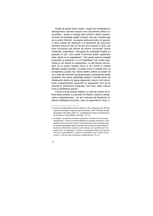Există de aceea bune motive - după cum evidențiază o retrospectivă, laconică asupra unor documente antice critic-politice - pentru a susține teza conform căreia oamenii, cel puțin din perioada axială<sup>3</sup> încoace, stau pe o bombă logică cu efect întîrziat: conceptul atotcuprinzător al speciei, a cărui putere de detonare s-a descărcat pe parcursul ultimelor două ori trei mii de ani prin explozii în lanț, mai bine cunoscute sub titlurile de istorie universală, istorie misionară, imperialism. Conceptul de umanitate implică un paradox în act, care poate fi formulat astfel: aparținem celor cărora nu le coaparținem<sup>4</sup>. (Am putea exprima această propoziție și temporal: cu cît împărtășim mai multă experiență cu cei cărora le coaparținem, cu atît devine mai evident că nu putem împărți nimic cu ei.) Avînd în vedere efectele acestui paradox, el poate suna în același timp ca evanghelie și piază rea. Istoria ideilor politice se poate citi ca o serie de încercări de dezamorsare a paradoxului politic al speciei. De aceea, politologia clasică e nevoită mereu să stăvilească drame ce sparg zăgazurile, atunci cînd orizonturile coapartenenței grupurilor și popoarelor tind să se extindă la dimensiuni imperiale, mai mult, către întinsul lumii și totalitatea speciei.

Tinînd cont de aceste reflecții, nu este de mirare că istoria ideilor politice s-a dovedit a fi mereu o istorie a fantasmelor coapartenentei - iar aici notiunea de fantasmă nu trebuie înțeleasă iconocritic, doar ca aparență ori miraj, ci

<sup>3.</sup> Termen conceptualizat de Karl Jaspers în Vom Ursprung und Ziel der Geschichte [Despre originea și sensul istoriei], 1949. Perioadă situată aproximativ între 800 și 200 Î.Ch., considerată de obicei ca decisivă pen tru formarea "spiritualitătii omenești". (N. tr.)

<sup>4.</sup> în original: «wir gehören mit denen zusammen, mit denen wir nicht zusam mengehören», întrucît zusammengehören (a aparține împreună, a coaparține) este un termen nodal în economia discursivă a acestui eseu, jar autorul exploatează retoric sensurile care se nasc din prelucrarea sin tactică și semantică a acestui cuvînt compus, am preferat să îl tra ducem prin "a coaparține", evitînd o interpretare liberă, dar abuzivă (cum ar fi, spre exemplu, "a forma o comunitate" sau "a avea ceva în comun"). Vezi și nota următoare a traducătorilor. (N. tr.)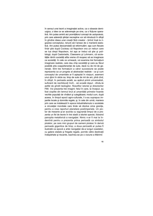în sensul unei teorii a imaginației active, ca o obsesie demiurgica, o idee ce se adeverește pe sine, ca o ficțiune operativă. Am putea aminti aici promițătorul concept de autopoiesis, prin care aderenții științei necreștine vor să introducă în sfirșit în gîndire ideea unei creații fără creator - ținînd însă la rigoarea conceptului, renunt să-l lansez de o manieră eseistică. Am putea deocamdată să reformulăm: așa cum fiecare tînăr știe după Cocteau că Napoleon era un nebun care se lua drept Napoleon, tot așa ar trebui să știe și politologii, după Castoriadis, Claessens și Luhmann, că societățile rămîn societăți atîta vreme cît reușesc să se imagineze ca societăți. în cele ce urmează, voi examina trei formațiuni imaginare realiste, care dau chip societății și care au făcut posibilă arta coapartenenței de sute, dacă nu de mii de generații. Sînt trei formațiuni a căror succesiune se poate reprezenta ca un progres al abstracției realiste - ca și cum conceptul de umanitate ar fi așteptat în nisipuri, asemeni unui djinn în sticla sa, timp de sute de mii de ani, pînă cînd, în sfirșit, în perioada axială, au apărut primii universalisti, suficient de nechibzuiți încît... să scoată dopul - dîndu-le astfel de gîndit teologilor, filosofilor istoriei și directorilor FMI. Voi prezenta trei imagini: felul în care, la început, au fost cioplite din lemnul brut al umanitătii primelor hoarde vechile populații de vînători și culegătoare; modul cum, după aceea, în timpul epocii agro-culturale, li s-au suprapus imperiile locale și domniile regale; și, în cele din urmă, maniera prin care se instalează în epoca industrialismului o societate a circulației mondiale care tinde să dizolve orice granițe, pentru a crea raporturi planetare postimperiale. Un pictor de meserie si-ar acorda cu sigurantă timpul de a prezenta un fel de teorie în trei stadii a istoriei speciei, folosind panoplia metaforică a navigatiei. Nimic n-ar fi mai la îndemînă pentru a prezenta prima perioadă ca simbolul plutelor, pe care mici grupuri de oameni plutesc în derivă perioade gigantice de timp; a doua perioadă ar putea fi ilustrată ca epocă a artei navigației de-a lungul coastelor, cu galere statale și fregate regale, pornite către destinații îndepărtate și riscante, bazîndu-se pe o viziune a Mărimii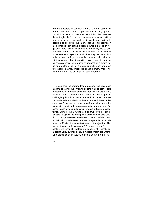profund ancorată în psihicul Sfîntului Ordin al bărbaților; a treia perioadă ar fi era superferiboturilor care, aproape imposibil de manevrat din cauza mărimii, brăzdează o mare de naufragiați, iar în timp ce coca navei este amenințată de tragice turbulențe, la bord se țin conferințe înfrigurate despre arta posibilului. Dacă am expune toate acestea în mod exhaustiv, am obține o frescă a lumii la dimensiuni hegeliene - spre necazul celor care au luat cunoștință cu ușurare de teza după care Marile Narațiuni n-ar mai fi posibile. In ceea ce ne privește, va trebui să ne mulțumim să schițăm în linii extrem de îngroșate stadiul paleopoliticii, cel al politicii clasice și cel al hiperpoliticii. Mai ramine de adăugat că această schiță este legată de reconstrucția logică hegeliană a istoriei lumii și a istoriei spiritului doar prin două fire subțiri - anume, predilecția pentru numărul trei și nesmintitul moto: "cu atît mai rău pentru lucruri".

Este posibil să vorbim despre paleopolitica doar dacă atacăm de la început o viziune asupra lumii și istoriei care îndoctrinează membrii emisferei noastre culturale cu o constiintă falsă a calendarului. Ideologia oficială privind civilizațiile primordiale vrea să ne facă să credem, în toate versiunile sale, că adevărata istorie ce merită luată în discuție n-ar fi mai veche de patru pînă la cinci mii de ani și că specia esențială de la care obișnuim să ne revendicăm a ieșit în acele vremuri din cețuri, undeva în Egipt, Mesopotamia, China și India. Atunci ar fi apărut scriitori și sculptori care ne spun și ne arată pentru prima oară ce este omul. Ecce pharao, ecce homo - omul nu este mai în vîrstă decît marile civilizatii, jar adevărata omenire începe abia pe culmile acestora. Poate că această teză nu a fost sustinută nicăieri expressis verbis în forma sa nudă, însă este prezentă mereu acolo unde umaniști, teologi, politologi și alți teoreticieni ai socialului iau cuvîntul pentru a modela imagini ale umanului eficiente colectiv. Astfel, toți consideră că "omul" ră-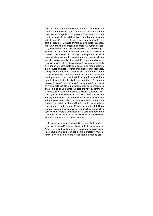sare din oraș, din stat ori din națiune, și nu uită nimic din ceea ce poate fixa în capul învățăceilor culturii aparența unei mari civilizații. Nu vom putea sublinia niciodată suficient de mult cît de falsă a fost dintotdeauna această îndoctrinare și în ce mod funest a funcționat ea pînă în prezent. Fixarea pe civilizațiile primordiale este proton pseudos, minciuna originară și greșeala capitală, nu numai din istorie și humanities, dar si din științele politice ori din psihologie. Ea distruge, în ultimă instanță cel puțin, unitatea evoluției umane și deconectează conștiința contemporană de lanțul nenumăratelor generații omenești care au preformai "potențialul" nostru genetic și cultural. Ea pune în umbră evenimentul fundamental, cel care precedă toate marile civilizații și în raport cu care toate așa-zisele evenimente istorice sînt deducții întîrziate - evenimentul global: antropogeneza. Omniprezenta apologie a marilor civilizații reduce istoria cu peste 95%, dacă nu chiar cu peste 98% din durata sa reală, pentru a-și da mînă liberă în scopul îndoctrinării antropologic-ideologice la nivelul cel mai înalt - învățătura clasică, înțeleasă din perspectivă contemporană, a Omului ca "ființă politică". Sensul acesteia este de a prezenta a priori omul ca pe un animal civil care are nevoie, pentru împlinirea esentei sale, de capitale, biblioteci, catedrale, academii și reprezentanțe diplomatice. Acolo unde s-a instaurat ideologia marilor civilizații se repetă la nivelul fiecărui individ ștergerea preistoriei și a antecedentelor - ca și cum fiecare nou individ ar fi un sălbatic penibil, care trebuie copt cît mai repede cu putință pentru viața în stat. Dacă depășim uitarea acestei preistorii, se deschide perspectiva constituirii milenare a umanității, de la care abia recent au apărut abateri, ale căror efecte se însumează în ceea ce Lévi-Strauss a desemnat ca istoria fierbinte.

în ceea ce priveste paleopolitica, ale cărei trăsături urmează să le schităm, esential este nu faptul că presupune "omul", ci că-l aduce la prezență. Dacă marile civilizații iau întotdeauna omul ca pe un dat, pentru a-l folosi în muncă, funcții și misiuni, lumea preistoriei este marcată de con-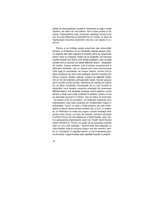știința că arta posibilului constă în chemarea la viață a noilor oameni, de către cei mai bătrîni, într-o lume pustie și riscantă. Paleopolitica este miracolul repetiției omului prin om. Ea este deprinsă și exersată într-un mediu ce pare să îngreuneze întrucîtva oamenilor arta de a se repeta în copiii lor.

Pentru a ne înfătisa acele essentials ale comunității arhaice, ar fi folositor să ne îndreptăm atentia asupra cîtorva aspecte ale vieții originare în hoardă, pline de consecințe pentru ceea ce urmează. Putem să ne imaginăm cel mai bine vechile hoarde sub forma unor insule plutitoare, care se lasă purtate lent și spontan pe apele Bătrînei Naturi - despărtite de mediu, înspre exterior, prin evoluția revoluționară a tehnicilor distanței, mai cu seamă prin noua sincronizare între fugă și contraatac; iar înspre interior, prinse într-un efect emoțional de seră care sudează membrii hoardei prin ritmuri, muzică, ritualuri, gelozie, surplus de vigilență, limbă, într-un fel de instituție psihosocială totală. Aceste grupuri pot fi numite insule sociale, deoarece se disting de mediul lor ca sfere însuflețite, înconjurate de un inel invizibil al distanțării care ferește corpurile omenești de presiunea Bătrînei Naturi; sub protecția acestuia, homo sapiens a putut deveni o fiintă care evită conflictul în exterior, pentru ca să se dezvolte luxuriant în interior. Aici ar trebui să încercăm - la simplul nivel al cuvintelor- să înlăturăm aparența unui individualism care este proiectat din modernitate înapoi în antichitate: "omul" nu este o ființă solitară, pe care întîmplarea îl aduce mereu printre semenii săi, ci ar fi, în realitate, un Robinson în stare să ocupe o insulă întreagă doar pentru sine însusi; ca fiinte de hoardă, oamenii participă în primul rînd și cel mai adesea la o fiintă-hoardă, care, dintr-o perspectivă platoniciană, este mai "reală" decît fiecare dintre membrii ei. "Omul" nu poate să se asocieze hoardei sale ca unui club simpatic - hoarda este mai degrabă un club totalitar care-și produce singur noii săi membri, pentru a-i "socializa" în regulile interne, și care înseamnă pentru ei lumea. Legea hoardei este repetiția hoardei în propria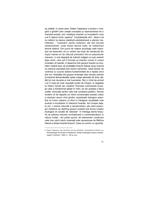sa prăsilă. în acest sens, Dieter Ciaessens a produs o imagine a gîndirii care unește conceptul și reprezentarea de o manieră exactă, prin metafora hoardei ca incubatorîn care s-ar fi născut homo sapiens<sup>5</sup>. Incubatoarele sînt - dacă e să ne referim la clasica metaforă aristoteliciană a uterului mamiferelor - "cuptoare" pentru embrioni; ele sînt locurile metamorfozei, unde fluidul devine solid, iar indistinctul devine distinct. Dm punct de vedere sociologic este important să observăm că nu vorbim aici doar de nenăscuții din trupul mamei ori de născuții prematuri într-un pseudouter mecanic, ci mai degrabă de indivizii indigeni ai unei omeniri deja vechi, care pot fi formați ca membri numai în corpul incubator al hoardei. A desemna toto genere hoarda ca incubator implică teza că societățile timpurii trebuie să-și impună ca misiune esențială arta clocirii oamenilor, dacă doresc să continue cu succes datoria fundamentală de a repeta omul prin om. Hoardele sînt grupuri omenești care clocesc oameni și transmit descendenților peste uriașe perioade de timp calități tot mai riscante și mai luxuriante. Nici o mînă de primat n-ar fi visat să cìnte vreodată lucrări de Chopin: în degetele lui Glenn Gould sau Vladimir Horowitz culminează evolutia care a transformat labele în mîini, jar din acestea a făcut unelte, minunate pentru cele mai complexe partituri. Devine evident cît de departe se întind consecințele acestei culturi a clocitului atunci cînd gîndim caracterele biologice specifice lui homo sapiens ca fiind în întregime rezultatele unei evoluții a incubatului în interiorul hoardei. Aici începe deja, la om, o istorie naturală a nenaturalului, ale cărei prelungiri moderne se răsfrîng asupra noastră sub forma crizelor ecologice ori sociale de "alienare". In întreaga istorie timpurie se petrece clocirea revolutionară a contranaturalului în natura însăsi - am putea spune, de asemenea: continutul celei mai vechi istorii omenesti este secesiunea de Bătrîna Natură a fiintei-hoardă timpurii. Ceea ce numim cu usurintă

<sup>5.</sup> Dieter Ciaessens, Das Konkrete und das Abstrakte. Soziologische Skizzen zur Anthropologie [Concretul și Abstractul. Schițe sociologice asupra antropologieil. Frankfurt. 1985. p. 145 si urm.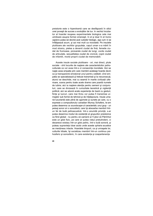preistorie este o hiperdramă care se desfășoară în stilul unei povești de succes a evoluțiilor de lux. In vechiul incubator al hoardei reușeau experimentele biologice cele mai uimitoare asupra formei omenești. In el și doar în el homo sapiens putea să devină acel outsider biologic, asa cum ni se înfățișează acum, și azi mai mult ca niciodată. Pe insulele plutitoare ale vechilor grupulețe, capul uman s-a mărit în mod straniu, pielea a devenit ciudat de fină, femeile ciudat de frumoase, picioarele ciudat de lungi, vocile ciudat de articulate, sexualitatea ciudat de cronică, copiii ciudat de infantili, morții proprii ciudat de memorabili.

Aceste insule sociale plutitoare - ori, mai direct, plute sociale - sînt locurile de naștere ale caracteristicilor psihoculturale ce vor avea într-o zi consecințe mondiale. Aici se naște acea empatie prin care membrii aceleiași hoarde devin ca și transparenți emoțional unul pentru celălalt; cînd empatia se specializează și trebuie transmisă și la necunoscuți, atunci se deschide, mai cu seamă în marile civilizații ulterioare, scena pentru toate acele drame care poartă numele de iubire; aici ia naștere atenția pentru semeni și conjuncturi, care se divizează în curiozitate teoretică și vigilență politică; aici se adună acele experiențe de bază cu gesturi, ființe și lucruri, care mai tîrziu vor putea fi transmise urmașilor sub formă de tehnică și de înțelepciune. Insula umană luxuriantă este plină de zgomote și sunete pe care, cu o expresie a compozitorului canadian Murray Schafers, le-am putea desemna ca soundscape-ul caracteristic unui grup - un peisaj sonor ori o sonosferă, care își absoarbe membrii întrun fel de bulă psihoacustică. într-o anumită privintă. s-ar putea desemna modul de existentă al grupurilor preistorice ca fiind global - nu pentru că oamenii ar fi stiut că Pămîntul este un glob fizic, pe care ar putea viețui pretutindeni, ci deoarece existau într-un glob psihic, într-o bulă sonoră, și puteau supravietui doar acolo unde aceste sphaira acustice se mentineau intacte. Hoardele timpurii, ca si urmasele lor, culturile tribale, își socializau membrii într-un continuu psihosferic și sonosferic, în care existența și coapartenența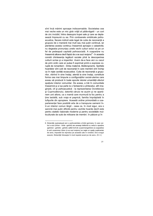sînt încă mărimi aproape indiscernabile. Societatea cea mai veche este un mic glob vrăjit al pălăvrăgelii - un cort de circ invizibil, întins deasupra trupei sale și care se deplasează împreună cu ea. Prin cordoanele ombilicale psihoacustice, fiecare individ este legat de cutia de rezonanță a grupului de o manieră mai mult sau mai puțin continuă, iar pierderea acestui continuu înseamnă aproape o catastrofa; nu degeaba pronunțau unele vechi culturi exilul ca pe un fel de pedeapsă capitală psihosocială. A coaparține nu înseamnă altceva decît faptul de a se auzi reciproc<sup>6</sup> - în aceasta constă chintesența legăturii sociale pînă la descoperirea culturii scrise și a imperiilor. Avem de-a face aici cu cazul de prim ordin care ar putea fi exprimat printr-o expresie coruptă de romantism - limba maternă, Muttersprache. Spiritele hoardelor sînt cutii de rezonanță în care membrii sînt închiși ca în niște cavități ecoacustice. Cutia de rezonanță a grupurilor, vibrînd în sine însăși, atentă la sine însăși, constituie forma cea mai timpurie a configurațiilor social-uterine care aveau să producă în toate epocile istoriei umanității efectul spațiului interior comunitar. De aceea, a trăi în comunitate înseamnă și a lua parte la o fantasmă a pîntecelui, atît imaginară, cît și psihoacustică - la reprezentarea Ocrotitorului și Cuprinzătorului, datorită căruia ne auzim și ne aparținem unii altora, ca o mamă care murmură la foc pentru a ține laolaltă, sub vraja ei pașnică, familia împrăștiată în tufisurile din apropiere. Această ordine primordială a coapartenenței face posibilă arta de a transpune oamenii într-un interior comun lărgit - ceea ce, în mod sigur, era o sarcină mai puțin dificilă pentru vechile hoarde decît este pentru statele nationale moderne și pentru societățile multiculturale de sute de milioane de membri. în pădure și în

<sup>6.</sup> Sloterdijk exploatează aici o particularitate a limbii germane, în care verbul a auzi (hören - hörte ~gehört) are aceeași rădăcină cu verbul a apartine (gehören - gehörte - gehört), astfel încît din zusammengehören (a coaparține) la sich zusammen hören (a se auzi reciproc) se naște un spațiu suplimentar de sens, imposibil de reprodus pe această cale în română. De-a lungul eseului, Sloterdijk foloseşte în mod repetat acest joc de sens. (N. tr.)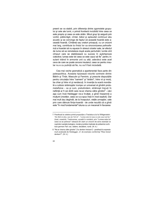preerii se va stabili, prin diferența dintre zgomotele grupului și cele ale lumii, o primă frontieră invizibilă între ceea ce este propriu și ceea ce este străin. Micul grup își asigură prin vorbit, pălăvrăgit, cîntat, bătut și aplaudat continuul său acustic și se convinge de faptul că această hoardă este această hoardă. Cîntăreti sau oratori priceputi, cu un orizont mai larg, contribuie la rîndul lor ca sincronizarea psihosferică a hoardei să nu esueze în stresul crizelor sale, jar efectul de lume să se reinstaleze după acele perturbări; lumile sînt cîmpuri care se stabilizează cu succes în autohipnoze colective: lumea este tot ceea ce este cazul să fie pentru insularii trăind în armonie unii cu alții; adevărul este acel ceva de care se poate ancora insularul; ceea ce pentru insular nu e cu putință să fie, nu va fi fost niciodată.

Cea mai veche gramatică a apartenenței face parte din paleopolitica. Aceasta tipizează rolurile contrare dintre Bătrîn și Tînăr, Masculin și Feminin, și prescrie dispozițiile pentru circulația între "oameni" și "străini", între vii și morți, ba chiar și între vii și nenăscuți. în invenția la scară mondială a cultului strămosilor irumpe un universal al gîndirii protometafizice - ca și cum, pretutindeni, strămoșii trecuți în neființă ar fi cei dintîi care ne-ar chema către gîndire<sup>8</sup> - căci așa cum încă Heidegger ne-a învățat, a gîndi înseamnă a mulțumi (morților, ceea ce n-a spus însă în mod explicit). Dar mai mult dau degîndit, de la începuturi, viețile urmașilor, cele prin care dăinuie fiinta-hoardă - de unde rezultă că a gîndi este "în mod fundamental" totuna cu un mecenat în favoarea

<sup>7.</sup> Parafrază la celebra primă propozitie a Tractatus-ului lui Wittgenstein: "Die Welt ist alles was der Fall ist" - "Lumea este tot ceea ce este cazul (sä fie) " (trad, noastră). Traducerea, uzuală în română, prin "Lumea este tot ceea ce se petrece" ratează din start un orizont de sens esențial ce cuprinde nuanțele teologice, morale și juridice implicate de polisemia cuvîntului german Fall: caz, cădere, decădere, ruină. (N. tr.)

<sup>8. &</sup>quot;Ne-ar chema către gîndire" ("zu denken heissen") - parafrază la expresia mult analizată de Heidegger, cf. de exemplu conferinta "Was heisst  $dankan2" (M tr)$ 

<sup>22</sup>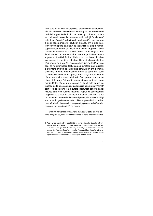vieții care va să vină. Paleopolitica circumscrie interiorul sensibil al incubatorului cu cea mai aleasă grijă, mamele cu copii mici făcînd pretutindeni, din cîte putem ști noi astăzi, obiectul unei atenții deosebite. Intr-o anumită privință, "societatea" este doaro "mantie" psihofizică în jurul sferei în care mamele și copiii repetă misterul însuflețirii umane. într-o exprimare tehnică vom spune că, alături de vatra vizibilă, cîmpul mamăcopilas a fost focarul de inspirație al tuturor grupurilor vechii omeniri, iar favorizarea noii vieți, "Ideea" sa demiurgica. Perfectul suspect pe care l-am folosit mai sus (a fost) nu vrea să sugereze că astăzi, în timpul istoric, ori postistonc, incubatoarele vechii omeniri ar fi fost abolite și că alte căi ale dresării omului ar fi fost (cu succes) deschise; "a fost" ar vrea doar să ne amintească faptul că așa-numitele mari civilizații și-au întors privirea de la repetiția omului prin om, pentru a chestiona în primul rînd folosirea omului de către om - ceea ce conduce inevitabil la apariția unor breșe traumatice în cîmpul cel mai protejat odinioară. S-ar putea chiar spune direct că întreaga "istorie" în sensul ei strict ar fi fost una a manipulărilor cîmpului mamă-copil<sup>9</sup>. După cele spuse se înțelege de la sine că spațiul paleopolitic este un matri"arhat" psihic ce se impune ca o putere instaurată asupra slabei resurse care este iubirea maternă. Faptul că descoperirea tragicului nu a fost un privilegiu al marilor civilizații - la fel de puțin ca și lumea de dincolo ori potențialul extatic -, ci își are cauza în gestionarea paleopolitica a precarității bunurilor, pare să reiasă dintr-o amintire a poetei japoneze YokoTawada, despre o poveste istorisită de bunica sa:

"Demult, pe vremea tind oamenii sufereau in satul lor de o sărăcie cumplită, se putea intîmpla uneori ca femeile să ucidă imediat

<sup>9.</sup> Acolo unde manipulările posibilităților psihologice sînt duse la extrem, nu mai sînt "suficiente" conditiile de doare și domină însufletiri esuate și sminteli; cf. Die gescheiterte Beseelung. Vorschlage zu einer Geschichtsphilosophie der Neurose l'insufletiri esuate. Propuneri la o filosofie a istoriei nevrozelor], confennță susținută cu ocazia aniversăm de 40 de ani a Societății Germane de Psihanaliză, Göttingen, 23 mai 1993.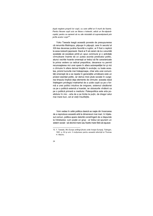după naștere propriii lor copii, cu care altfel ar fi murit de foame. Pentru fiecare copil ucis se făcea o kokeshi, adică un fie-săpiarăcopilul, pentru ca oamenii să nu uite niciodată că supraviețuiseră prin jertfa acelor copii"<sup>")</sup>.

Yoko Tawada leagă această poveste de presupunerea că renumita Matriosca, păpusa în păpusă, care în secolul al XIX-lea devenea jucăria favorită a rușilor, ar fi fost o replică la acea kokeshi japoneză. Dacă ar fi să cerem de la o anumită societate să exceleze printr-un opus commune și o activitate cîrmuitoare înainte de a-i putea acorda predicatul politic, atunci vechile hoarde omenești ar trebui să fie caracterizate la prima vedere ca radical prepolitice, deoarece nu permit recunoașterea nici unei opere în afara autorepetiției lor și nici o cîrmuire în afara derivei liniștite în evoluție; cu toate acestea, privind lucrurile mai îndeaproape, chiar arta unei comunități omenești de a se repeta în generațiile următoare este un proiect esențial politic, iar deriva micii plute sociale în curgerea timpului implică deja elemente de cîrmuire: aceasta dacă înțelegem privilegiul matriarhal de a ucide copiii ca pe o formă a unei politici intuitive de imigrare, sistemul căsătoriei ca pe o politică externă a hoardei, iar obiceiurile vînătorii ca pe o politică primară a mediului. Paleopolitica este arta posibilului în mic - arta de a se limita la puțin, de dragul celui mai mare bun, cel al vieții însuflețite.

Vom vedea în cefei politica clasică se naște din încercarea de a reproduce această artă la dimensiuni mai mari. In înțelesul comun, politica apare datorită constrîngerii de a răspunde la întrebarea: cum poate un grup - ar trebui să spunem un sistem social - să devină mare sau foarte mare fără să eșueze

<sup>10.</sup> Y. Tawada. Wo Europa anfängt [Acolo unde începe Europa]. Tübingen. 1991, p. 83 și urm. îi mulțumesc pentru această referință lui Thomas H. Macho.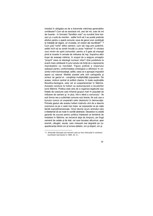imediat în obligația sa de a transmite mărimea generațiilor următoare? Cum să se asocieze mii, zeci de mii, sute de mii de hoarde - în formatul "familiilor mari" ce numără între treizeci și o sută de membri - astfel încît să li se poată pretinde efortun pentru o operă comună, ceva de genul unor contribuții la instalații de irigare, ori cruciade, ori costuri ale reunificării<sup>11</sup> ? Cum poți "vorbi" atîtor oameni, cum să-i legi prin jurămînt, astfel încît să se simtă înrudiți cu acea "mărime" în virtutea unui minim de spirit comunitar- pentru a fi gata să meargă pînă la moarte în armate de milioane de inși, împotriva altor trupe de aceeași mărime, în scopul de a asigura urmașilor "proprii" ceea ce ideologii numesc viitor? Arta posibilului la scară mare orbitează în jurul actului de forță de a reprezenta improbabilul ca inevitabil. Figura politică a imperiului optează pentru conformitatea ontologică a dificilului în orizontul vrerii dumnezeiești; astfel, ceea ce e aproape imposibil apare ca natural. Mediile acestei arte sînt cartografia și scrisul, iar geniul ei - conștiința multiplicității popoarelor. De aceea. motivul central al politicii clasice, în toate explicațiile filosofico-teologice, este cel al coapartenenței în Mărime. Aceasta conduce la holism ca autoconjurare a locuitorilor lumii Mărimii. Politica este arta de a organiza legăturile sau forțele de coeziune care înhamă grupuri mari în populații de milioane de oameni și, în plus, într-o sferă a comunului - fie sub forma rea a suferintei comune sub tiranie, fie sub cea a bunului comun al cooperării celor destoinici în democratie. Primele gesturi ale acestui holism instinctiv sînt de a descrie cosmosul ca pe o casă mai mare, iar popoarele ca pe niște familii supradimensionate. Omul devine acum animalul care e blestemat să se mute în cochilii abstracte. Deoarece nu există garantii de succes pentru politica înteleasă ca tentativă de instalare în Mărime, se remarcă deia de timpuriu, pe lîngă oamenii de cetate și de stat, cei care locuiesc altcumva: apar eremiti, călugări, asceti, care mizează mai degrabă pe coapartenenta dintre om si lumea stelelor, om si desert, om si

<sup>11.</sup> Sloterdijk folosește aici termeni care au fost vehiculați în contextul reunificării Germaniei în 1989. (N. tr.)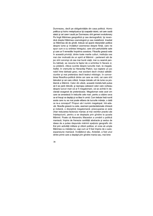Dumnezeu, decît pe obligativitățile din casa politică. Homo politicus și ho/no metaphysicus își coaparțin istoric; cel care caută statul și cel care-l caută pe Dumnezeu sînt gemeni evolutionary Pe lingă Mărimea geografică și cea demografică, își revendică dreptul Mărimea cosmologică și cea metafizică. Imediat ce Mărimea dă de gîndit, trebuie să apară interpretări politice despre lume și învățături asemenea despre ființă, care ne spun cum e cu ordinea întregului, care sînt perturbările sale și care ar fi remediile împotriva acestora. Filosofia greacă este în această privință, dintre toate marile culturi, instituția cea mai clar motivată de un spirit al Mărimii - partenerii săi de joc sînt convinși că cea mai bună viață, mai cu seamă pentru bărbați, se rezuma la faptul de a schimba în fiecare zi, cu prietenii, cîteva cuvinte despre lucrurile mari, ta megala. Astfel, în vremurile lui Heraclitși Platon, lua naștere un joc nobil între bărbații greci, mai excitant decît vînatul sălbăticiunilor și mai pretențios decît teatrul mitologic: în convorbirea filosofico-politică dintre cei care se miră, cei care sînt bănuitori și cei care critică, începe dulcele urit de lume ca problemă a Mărimii. Celor din afară, această trebălu'ialâ putea să li se pară ridicolă, și reproșau adeseori celor care vorbeau despre lucruri mari că ar fi megalomani, că se avîntă în declaratii exagerat de pretentioase. Megaloman este acel om care se amestecă în treburile cele mari, pentru a obtine ceva ce el însusi va depăsi și va lăsa în urmă. Cum trebuie însă numit acela care nu se mai poate elibera de lucrurile mărete, o dată ce ie-a conceput? Propun să-l numim megalopat. Intr-adevăr, filosofia greacă nu este, asemeni pandantelorsale chineză și indiană, o disciplină megalomană; preocuparea ei este chiar reducerea factorului maniac al mai vechilor practici ale întelepciunii, pentru a se destepta prin gîndire la scoala Mărimii. Poate că Alexandru Macedon a urmărit o politică maniacă, împins de frenezia cantitătii abstracte și sedus de ideea de a putea răspunde mărimii spatiului geografic din Est prin activităti militare și ctitorii politice; el vroia să umple Mărimea cu măretia lui, cași cum ar fi fost împins de o autoexpansiune maniacă. învătătorul său, Aristotel, a fost unul dintre primii care a depășit prin gîndire mania sau, mai bine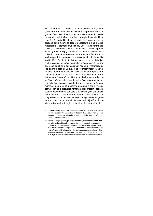zis, a coborît din ea pentru a prelucra lucrurile mărețe, integrîndu-le ca domenii de specialitate în impasibile rutine de gîndire. De aceea, doar după el se poate spune că filosofia, ca exercițiu spiritual ori ca stil al cunoașterii, s-a stabilit cu adevărat în polis. De atunci, filosofia s-a impus vreme de aproape două milenii ca teorie megalopată a unei practici megalopate - asemeni unui cult sau unei terapii pentru acei pacienți atinși de răul Mărimii, a se înțelege cetățeni ai polisului, funcționari, teologi și oameni de stat, care resimt cosmosul politic în noua sa dimensiune. între aceștia ia ființă o nouă legătură psihică - prietenia, care înflorește dincolo de vechile familiarități<sup>12</sup>; "prieteni" sînt bărbații care, pe drumul Măreției, printre suișuri și coborîșuri, se întîlnesc în empatie. în tovărășiile cosmice chiar și dușmanii sînt neamuri - melancolia iui Alexandru în fața lui Darius, regele perșilor trecut în neființă, este monumentul clasic al noilor relații de empatie între pionierii Mărimii. Calea către o viață cu măsură le va fi arătată acestor "prieteni" de către noua clasă a antrenorilor întru ființă; măsura este calea de mijloc între viața unui animal domestic fals micșorată la și de delirul de Dumnezeu în preamărire. A fi om de stat înseamnă de atunci a căuta mijlocul potrivit - iar de la preluarea romană a ideii grecești, această căutare poartă numele sub care e cunoscută și astăzi: umanitatea. Dar dacă a trăi în oraș înseamnă pentru mulți rău de oraș, reflecția asupra coexistenței orășenești trebuie să genereze eo ipso o teorie care să interpreteze și să justifice răul de Mare în termeni ontologici, cosmologici și escatologici<sup>3</sup>.

<sup>12.</sup> Cf. Horst Hutter, Politics as Friendship, Greek and Roman Theories of Friendship in their Social Settinp [Politica înțeleasă ca prietenie. Teorii romane și grecești ale prieteniei în configurațiile lor sociale], Wilfried Laurier University Press, 1978.

<sup>13.</sup> De aici decurge apariția, pe lîngă "prietenie", care ar reprezenta "lumi na" relațiilor între bărbații de succes din lumea Mărimii, a clemenței ori iubirii pline de compasiune (caritas), ca nouă formă de reglare pentru împărțăsirea soartei învinsilor și pentru formarea păturilor sociale, de partea "întunecată" a imperiilor. Secretul succeselor crestinismului tim puriu s-ar datora probabil faptului că a reușit să producă atît empatia cu învinsii, ca ecclesia oppressa, cît si cu învingătorii, ca ecclesia triumphans.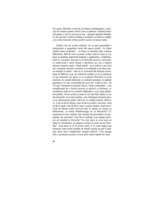De aceea, filosofia va deveni, pe latura ei pedagogică, o practică de inițiere pentru tinerii care-și părăsesc căminul familial pentru a ieși în oraș sau în stat - urmașul spațiului hoardei; de aici provine vechea rivalitate și confuzie cu retorii și sofiștii, care oferă formule ieftine pentru cariere în lumea mare.

Ținînd cont de aceste reflecții, mi se pare plauzibilă o interpretare a imaginilor lumii din epoca axială - în sfîrșit stadiul marii civilizații! - ca breșe ce deschid către rutinele Mărimilor, fără de care nu poate exista viață în orașe și imperii, în gîndirea imperială timpurie a egiptenilor, a babilonienilor și a perșilor, precum și în filosofia greacă a polisului, se elaborează o nouă formă a spiritului, pe care o putem denumi atletism statal. Atletii statali - acei indivizi care încă din vremurile anticilor orientali și occidentali și-au lăsat uneori numele în istorie - sînt cei ce exersează din tinerete coexistenta în Mărimi ca pe un culturism mental, și nu în gimnazii ori pe terenurile de sport, ci în academii filosofice si scoli oratorice, în consilii princiare și seminarii preotesti, în adunări populare și în alte comunități de acest fel. Viața în stat - iar "în stat" înseamnă în primul rînd la vîrful comunității - este conditionată de o formă ascetică și atletică a existenței, ce modelează indivizii în rutinele Mărimilor ca pe niște gladiatori politici. *Homo politicus* poate fi cel mai bine înteles ca un decatlonistîn serviciul statului, care întîmpină destinul printr-un antrenament psihic adecvat, în cîmpul marilor objective. Cum să devii faraon, cum să devii pontifex maximus, cum să devii rajah, cum să devii cezar, consul, senator, *Imperator*? Cum să trăiești astfel încît să intri în cărțile de istorie ca Metternich, ca lordul Marlborough ori ca Bismarck? Ce ascensiuni te pot conduce spre functia de guvernator, de presedinte, de cancelar? Cum devii cardinal, cum ajungi profesor de catedră la filosofie? Nu știu dacă ar avea sens să luăm în considerare un răspuns comun la toate aceste întrebări - însă dacă ar fi să existe unul, el ar suna după cum urmează: toate aceste modele de functii sociale nu pot fi realizate decît prin conditionări megalo-atletice. Cine ajunge într-o asemenea poziție a trecut prin multe rupturi de copi-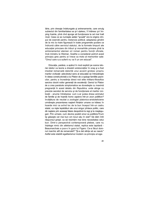lărie, prin dresaje îndelungate și antrenamente, care smulg subiectul din familiaritatea sa și-l oțelesc, îl întăresc și-l împing înainte, pînă cînd ajunge să funcționeze la cel mai înalt nivel. Ceea ce se numește astăzi "școală" era la origine cîmpul de exercitii pentru *metanoia* politică: adaptarea gîndirii de la mic la mare figurează în toate programele scolare ce îndrumă către serviciul statului, de la formele timpurii ale educatiei princiare din triburi si monarhiile primare pînă la antrenamentul atenian ori roman pentru functii oficiale, încă ministru la Weimar, Goethe a considerat potrivit acest principiu grec pentru a-I trece ca moto al memoriilor sale: "Omul care n-a suferit nu va fi un om educat".

Educația, paideia, a apărut în mod explicit pe scena istoriei ideilor ca teorie a dresării aristocraților în oraș și a fost imediat remarcată datorită unui accent grotesc propriu marilor civilizații: adevăratul sens al educației se întrezărește în ideea constructivistă a lui Platon de a sparge familiile paznicilor, pentru a încredința direct noii elite militaro-filosofice sarcina clocirii noilor generații de excelență. Geniul lui Platon de a crea parabole simptomatice se dovedește cu maximă pregnanță în acest detaliu din Republica, unde atinge cu precizie secretul de serviciu și de funcționare al marilor civilizații - anume întrebarea: cum s-ar putea dresa animalul de familie și de hoardă homo sapiens într-un zoon politikon? învățătura de neuitat a zoologiei platonico-aristoteliciene urmărește prezentarea nasterii fiintelor umane ce trăiesc în hoarde mici ca avînd loc de la bun început într-un cadru statal, ca niște lepădături ale unui singur pîntece politic, care dă nastere prin aceeasi fatare deopotrivă la regi și la mestesugari. Prin urmare, cum devine posibil omul ca politikós?Cum îsi găseste cel mai bun om locul său în stat? Să dăm întîi răspunsul greșit, ca să resimțim mai bine necesitatea celui bun. Dintr-o perspectivă contemporană plebee, care nu întelege nimic din atletismul statal, replica este lapidară -Beaumarchais a pus-o în qura lui Figaro: Ce-a făcut domnul marchiz atît de remarcabil? "Şi-a dat silința să se nască." Astfel este stabilit egalitarismul modern ca principiu al ega-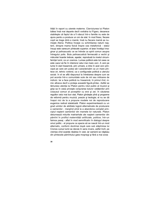litătii în raport cu uterele materne. Clarviziunea lui Platon bătea însă mai departe decît vorbăria lui Figaro, deoarece stabilește că faptul de a fi născut într-o familie nu este de ajuns pentru a produce un om de stat. în mod firesc, fiecare copil se trage dintr-o mamă, însă nu fiecare mamă se numește Atena. Politica începe cu schimbarea naturii nașterii, dinspre mama fizică înspre cea metaforică - statul însuși este oarecum pîntecele superior; el tese învelișul imaginar și psihoacustic ce se întinde ca spirit comun asupra întregului polis. Bula psihoacustică fermecată a vechii și măruntei hoarde trebuie, așadar, reprodusă la nivelul circumferinței lumii, ca un cosmos. Lumea politică este tot ceea ce este cazul să fie în interiorul celui mai mare cerc. A veni pe lume în stat înseamnă, prin urmare, a intra în acel cerc principal pe care am putea să-l caracterizăm ca un mare pîntece ori, tehnic vorbind, ca o configurație politică a uterului social. în el se află răspunsul la întrebarea despre cum se pot acorda într-o comunitate sute de mii sau milioane de indivizi. Iar a face politică nu înseamnă. în primul rînd. nimic altceva decît a proteia această figură-pîntec. Astfel se lămuresc atentia lui Platon pentru rolul public al muzicii și grija sa în ceea priveste conjurarea tuturor cetătenilor prin corpusul comun al povestilor cu eroi și zei. în căutarea requlilor celui mai bun stat. Platon gîndeste pînă și programe de reformă pentru muzică, poezie și teologie; el nu se dă înapoi nici de la a propune modele noi de reproducere eugenica radical statalizată. Platon experimentează cu un grad uimitor de abilitate logică alternativele de producere a oamenilor - mergînd pînă la a abandona complet principiul nasterii oamenilor din mamele lor naturale. Platon deturnează miturile matriarhale ale nașterii oamenilor din pămînt în profitul maternității artificiale, politice; într-un faimos pasai - aflat în mod semnificativ în dialogul despre omul politic - el propune ca specia să se nască într-un mod alternativ, conform doctrinei după care sub stăpînirea lui Cronos cursul lumii se derula în sens invers, astfel încît, pe vremea cînd soarele răsărea în vest, jar oamenii se năsteau din pîntecele pămîntului gata moșnegi și fără a mai avea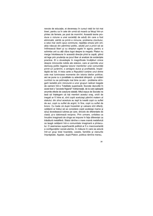nevoie de educație, ei deveneau în cursul vieții lor tot mai tineri, pentru ca în cele din urmă să moară ca fetuși într-un pîntec de femeie, pe post de mormînt. Această teorie produce o viziune a unei societăți de adulți din care a fost eliminată, sărită ca printr-o minune, problema clocitului, a celui mai vechi opus commune, repetiția omului prin om; abia născuți din pămîntul politic, adulții pot a priori să se întîlnească liberi și cu drepturi egale în agora, pentru a schimba unii cu alții cîțiva logoi despre ta megala. Platon nu merge întotdeauna în această direcție pînă la capăt, știind să lege prin prudența sa jocul liber al analizei de evidențele practice. El o dovedește în magnificele învățături cinice despre minciunile nobile ale statului, care ar permite unui demiurg politic legarea tuturor membrilor unei comunități printr-un jurămînt, o amăgire dulce și profitabilă, împărtășită de toți. A treia carte a Republicii conține unul dintre cele mai luminoase momente din istoria ideilor politice; aici se pune cu o jovialitate cu adevărat olimpică - și nicăieri cuvîntul nu se potrivește mai bine ca aici - problema strìngerli laolaltă prin minciună a unor grupuri radical inegale de oameni într-o Totalitate superioară; Socrate dezvoltă în acest text o "poveste frigiană" îndrăzneață, de la care așteaptă anumite efecte de coeziune statală. Mitul expus de Socrate ne lasă să înțelegem că toți membrii acestui oraș, oricît de inegali ar fi între ei, sînt copiii aceluiași pămînt matern al statului; din sînul acestuia au iesit la iveală copii cu suflet de aur, copii cu suflet de argint, în fine, copii cu suflet de bronz. Cu toate că după înzestrări și valoare sînt diferiți, cetățenii ar trebui să se considere copiii aceleiași mame și să-si dovedească jubirea pe care, dincolo de diferentele de clasă, și-o datorează reciproc. Prin urmare, unitatea ca înrudire imaginară de sînge se impune în fata diferentei ca trăsătură metaliferă. Statul rămîne o mare mamă metaforică ce leagă cetătenii într-o comunitate imaginară a pîntecului. O asemenea superhoardă politică ar fi o macrovariantă a configuratiilor social-uterine, în măsura în care ea adună într-un grup total hoardele, casele, familiile și clanurile împrăștiate. Așadar, după Platon, politica rămîne mereu,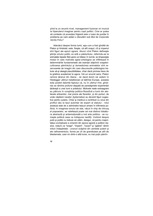pînă la un anumit nivel, management fuzionar ori muncă la hiperuterul imaginar pentru copii politici. Cine ar putea să conteste că povestea frigiană este o luare de poziție în problema pe care astăzi o discutăm sub titlul de Corporate Identity-Policy?

Adevărul despre forma lumii, așa cum a fost gîndită de Platon și Aristotel, este, firește, că atît orașul, cît și imperiul sînt figuri ale epocii agrare. Atunci cînd Platon defineste stiinta omului politic ca artă a păstoritului, referindu-se la animalele bipede fără pene ce trăiesc în turmă, se limpezeste modul în care motivele agrar-ontologice se infiltrează în determinările fundamentale ale esentei stăpînirii orașelor: cultivarea pămîntului și domesticirea animalelor sînt rezervoarele de imagini din care discursurile politologice trebuie să-și aleagă plauzibilitatea, chiar dacă privirea trece de la grădina academiei la agora. într-un anumit sens, Platon ramine țăranul din Atena - iar dacă dorim să vedem în Heidegger ultimul metafizician al bătrînei Europe, aceasta este posibil datorită faptului că, nu în ultimul rînd, gîndirea sa rămîne profund atașată de paradigmele experienței tărănești a unei lumi a prăsitului. Motivele reale extraagrare au pătruns în conștiința politico-filosofică a lumii din atelierele artizanilor, mai precis ale fierarilor, și din porturi, de unde căpitanii navelor (kybernetes) au devenit figuri sugestive pentru putere. Chiar și medicul a contribuit cu ceva din profilul său la tipul autoritar de expert al statului - rolul acestuia este de a administra leacuri amare în infirmeria politică, în imaginea omului de stat, văzut în chip de chirurg al popoarelor, se reliefează poate cel mai distinct trăsătura abstractă și antiemotională a noii arte politice - se numeste politică ceea ce indispune neofitii. Vorbind despre polis si politie nu trebuie să uităm, desigur, că pentru maioritatea covîrsitoare a omenirii din epoca agrară a politicii clasice, noțiuni ca "orașe", "imperii", "cezari" și "galere" rămîn mituri îndepărtate - zvonuri scăpînd din centrele puterii și ale rafinamentului, forme pe cît de grandioase pe atît de blestemate, care vin dintr-o altă lume, nu mai putin pămîn-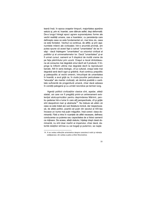teană însă. în epoca orașelor timpurii, majoritatea aparține satului și, prin el, hoardei, care dăinuie astfel, deși deformată. De-a lungul întregii epoci agrare supraviețuiesc forme ale vechii realități umane, cea a hoardelor, cu persistența care defineste ceea ce este fundamental ori, mai bine zis, ceea ce este fondator. Vechiul va continua, de altfel, și prin așanumitele milenii ale civilizației; într-o anumită privință, am putea spune că acest fapt a salvat "umanitatea" de ea însăși - dacă înțelegem "umanitatea" ca orizontul civilizat al politiilor și al universalismelor lor. Dacă "umanitatea" și-ar fi urmat cursul, oamenii ar fi dispărut de multă vreme de pe fața pămîntului prin uzură. Orașul a riscat dintotdeauna să consume mai degrabă omul decît să îl producă, îl împinge la înfloriri ultime mai degrabă decît la reproduceri banale. Atît în sens biologic, cît și cultural, orașul este mai degrabă seră decît ogor și grădină. Acel continuu prepolitic și paleopolitic al vechii omeniri, întruchipat de umanitatea în hoardă, a avut grijă ca, în ciuda jocurilor periculoase cu "educația" ale marilor civilizații, să rămînă posibilă o cantitate suficientă de progenitură umană, chiar dacă adesea în condiții patogene și cu urmări nevrotice pe termen lung.

Agentii politicii civilizatiilor clasice sînt. asadar, atletii statali, cei care vor fi pregătiți printr-un antrenament existential atotcuprinzător pentru deprinderea Mărimii, pentru sederea într-o lume în care atît perspectivele, cît și griile sînt deopotrivă mari și abstracte<sup>14</sup>. Nu trebuie să uităm că ceea ce este tratat aici sub titulatura ironică, dar respectuoasă, de atleti politici, poartă cel putin din secolul al XIX-lea încoace un nume mai putin măqulitor, însă corect: clasa dominantă. Fără a intra în nuantele de altfel necesare, definesc conducerea ca puterea sau capacitatea de a folosi oamenii ca miiloace. De aceea, atletii statului, întelesi drept clasă dominantă, nu sînt doar martiri ai imperiului, chiar dacă, datorită relatiilor strinse cu cei bogati și puternici, se naste

<sup>14.</sup> A se vedea reflecțiile aristotelice despre caracterul nobil și măreția cetățeanului, din cartea a patra a Eticii Nicomahice.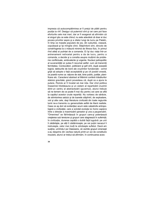impresia că autocompătimirea ar fi prețul de plătit pentru pozitia ia vîrf. Desigur că puternicii sînt și cei care pot face eforturile cele mai mari, dar ar fi exagerat să afirmăm că ei singuri știu ce este chinul; nu este adevărat că doar ei duc povara privirilor aspre și a zilelor lungi de lucru pe Palatin, în timp ce masele populare de jos, din suburbie, visează, copulează și își mîngîie cîinii. Stăpînitorii sînt, dincolo de constrîngerea la o măsură minimă de fitness fizic, în primul rînd atleți ai putinței de a comanda. Ei își duc viața într-un antrenament neîncetat pentru a da de lucru, pentru a comanda, a decide și a consilia asupra mulțimii de probleme conflictuale, ambivalente și urgente. Nucleul psihopolitic al suveranității ar putea fi rezumat astfel: cum să transmiți fermitatea. Conducători, politicieni și șefi sînt, după această logică, tablourile de bord ale cruzimilor funcționale - avînd grijă să adopte o față acceptabilă și pe cît posibil onestă, ce poartă nume ca: rațiune de stat, bine public, justiție, planificare etc. Caracterul abstract al Mărimii conferă trăsăturilor statului gravitate: grecii povesteau că, după ce a aiuns la putere. Pericle ar fi încetat să mai rida. Dar cînd politica înseamnă întotdeauna și un sistem al repartizării cruzimii dintr-un centru al abstractizării (quvernul), atunci trebuie să ne temem de ce poate fi mai rău pentru cei care se află la capătul acestor crude repartitii. Nu vorbesc de sărăcie, de strimtorirea satului și de toanele stăpînirii, de exploatare, viol și alte cele, deși literatura civilizată din toate regiunile lumii ne-a transmis cu generozitate astfel de litanii realiste. Ceea ce aș dori să evidențiez acum este catastrofa antropologică a civilizației, care a scindat evoluția lui homo sapiens între o directie a maximizării sanselor și una a pauperizării. "Omenirea" se fărîmitează în grupuri care-și potentează cresterea sub tensiune si grupuri care stagnează în suferintă: în civilizatie, durerea capătă o dublă fată lugubră: pe unii îi zădărăște, pe altii îi zădărnicește; pe cei putini necazul îi instruieste, celor mai multi le zdrobeste sufletul. Dacă am sustine, urmîndu-l pe Claessens, că vechile grupuri omenesti s-au desprins din vechea natură printr-un soi de constituire insulară, atunci ar trebui să afirmăm, în continuarea aces-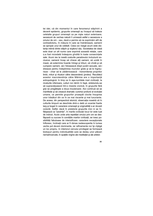tei idei, că din momentul în care fenomenul stăpînirii a devenit epidemic, grupurile omenești au început să trateze celelalte grupuri omenești ca pe niște naturi exterioare; secesiunii de vechea natură îi urmează astfel o secesiune a omului de om - sau, dacă e permis să ne exprimăm atît de contradictoriu, în măsura în care se înstrăinează, oamenii se apropie unul de celălalt. Ceea ce-i leagă acum este distanța intimă dintre stăpîn și slujitorul său. Societatea de clasă este doar un alt nume care exprimă această relație, care n-a fost niciodată îndeajuns gîndită în toate consecințele sale. Acum ies la iveală costurile paradoxului incluziunii exclusive; oamenii încep să vîneze alți oameni, să ucidă în masă, să extermine hoarde întregi și triburi, să vîndă și să cumpere oameni, să-i folosească drept jucării sexuale, să-i dreseze pentru îndeplinirea muncilor grele și să le îngreuneze - chiar să le zădărnicească - transmiterea propriilor limbi, mituri și ritualuri către descendenți (proles). Rezultatul acestor macrotendințe către Mărime are o importantă antropologică: în timp ce în asa-numitele mari civilizatii. la nivelurile inferioare, culturi noi rămîn în fasă, străduindu-se să supravietuiască într-o mizerie cronică, în grupurile fără griji se pregătește a doua insularizare. Aici continuă să se manifeste și să crească dramatic curentul profund al evolutiei umane, ce permite grupurilor proaspăt clocite însusirea unor trăsături din ce în ce mai riscante și mai luxuriante. De aceea, din perspectivă istorică, observatia noastră că în culturile timpurii se deschide dintr-o dată un evantai foarte larg și bogat în caractere omenești și originalități s-ar dovedi corectă. Astfel. dacă în preistorie grupurile mici ni se înfătisează ca "pestrite", în marile civilizatii locul lor este luat de indivizi. Acolo unde arta repetitiei omului prin om se desfăsoară cu succes în conditiile marilor civilizatii, se ivesc posibilităti fabuloase de intensificare: caractere exceptionale înfloresc. înclinatii care ar fi rămas nedescoperite în lumea veche pot deveni dominante, jar rafinamente noi îsi cîstigă un loc propriu. In interiorul cercului privilegiat se formează biotopuri pentru individualități care se dedau unor plăceri nemaiîncercate, în spatiile virgine ale meditatiei și ale artelor.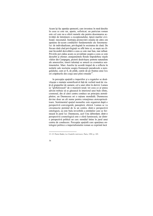Acum își fac apariția sponsorii, care investesc în mod deschis în ceea ce este rar, aparte, sofisticat; un patrician roman este cel care ne-a oferit numele său pentru desemnarea activității de întreținere a excepționalului, tipică marilor civilizații: mecenatul. Instituția promovării omului de către om apartine de-acum conditiilor fundamentale ale fenomenului de individualizare, privilegiată în societatea de clasă. De fiecare dată cînd privilegiatii se află între ei, se naste un climat favorabil dezvoltării a ceea ce este mai bun, mai rafinat. Privirile pot cădea acum cu jovialitate asupra a ceea ce este deosebit și efemer; aranjamentele florale împodobesc nișele vilelor din Campagna, pictorii desăvîrșesc portrete naturaliste ale amorezilor, tinerii talentați se amuză cu cromatica sentimentelor. Marc Aureliu își acordă timpul de a reflecta în notițele sale nocturne asupra frumuseții paradoxale a neregulatului, cum ar fi, de pildă, cutele de pe fruntea unui leu ori crăpăturile din coaja unei pîini rotunde<sup>15</sup>.

în perceptia spatială a imperiilor și a regatelor se desăvîrseste o mutatie semnificativă fată de vechiul mod de viată al grupurilor de oameni, cel a unei sfere în derivă. Lumea se "globalizează" de o manieră nouă: tot ceea ce ar putea adveni trebuie să se găsească în interiorul unei bule sfinte. cosmosul, din al cărei centru conduce un principiu atotstăpînitor, un Dumnezeu ori o ratiune mondială. Dumnezeu devine doar un alt nume pentru rotunjimea atotcuprinzătoare. Sentimentul spatial monarhic este organizat după o perspectivă convergentă, panoptică, sferică. Lumea se va circumscrie pornind de la un centru; dintr-o perspectivă ontologică, ea este bula invizibilă a entităților care se formează în jurul lui Dumnezeu, acel Unu debordant; dintr-o perspectivă cosmologică este o sferă luminoasă, iar dintro perspectivă politică un cerc mondial întins în jurul unui centru de conducere. Perceptia spatială care apartinea ontologiei politice a imperialismului roman se exprimă încă

<sup>15.</sup> Cf. Pierre Hadot, La Citadelle intérieure, Paris, 1992, p. 185.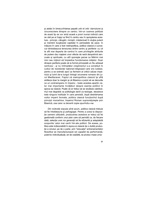și astăzi în binecuvîntarea papală urbi et orbi: clarviziune și circumscriere dinspre un centru. într-un cosmos politizat de acest tip se vor simți acasă a priori numai indivizii care se văd pe ei înșiși ca fiind în centru sau în apropierea acestuia - principi, călugări, miniștri, intelectuali în slujba puterii și membrii burgheziei capitalei în perioadele de pace. In măsura în care a fost metropolitica, politica clasică a cunoscut dintotdeauna tensiunea dintre centru și periferie: cu cit te afli mai departe de centrul în care privilegiile atribuite de putere dau naștere unor efecte de seră deopotrivă senzuale și spirituale, cu atît sporește șansa ca Mărimi mai mici sau mijlocii să împiedice funcționarea rotițelor. Doar dinspre periferie poate să ia formă principială un Nu adresat centrului - și nu întîmplător creștinismul s-a constituit în cuibul de rezistență național-religioasă care era ludeea, pentru a se extinde apoi ca ferment al criticii aduse imperiului și lumii de-a lungul întregii oicumene romane din jurul Mediteranei. Faptul că metropolitica clasică își află antiteza doar la margini și că Biserica a putut să se dezvolte ca un contraimperiu în imperiu - toate acestea aparțin celor mai importante învățături despre esența politicii în epoca sa clasică. Poate că ar trebui să se studieze catolicismul mai degrabă ca politologie decît ca teologie, deoarece este singura instituție în care persistă, după destrămarea noilor imperii formale, politica clasică funcționînd după principii monarhice; Imperiul Roman supravietuieste prin Biserică, cea care i-a devenit copie opunîndu-i-se.

Din motivele expuse pînă acum, politica clasică trebuie să fie întotdeauna și psihagogie. Pentru a avea la dispoziție oameni utilizabili, producerea acestora ar trebui să fie gestionată conform unui plan care să permită ca, de fiecare dată, selectia unei noi generatii să fie eficientă și adaptabilă scopurilor celor mai vechi într-ale politicii. De aceea, politica este indisociabilă în epoca ei clasică de o dublă producție a omului; pe de o parte, prin "educația" antrenamentelor filosofice se manufacturează cei capabili de performanță, puternic individualizați, iar de cealaltă, se produc mase uma-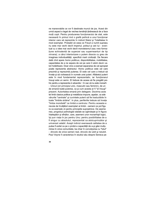ne manevrabile ce vor fi destinate muncii de jos. Acest din urmă aspect e legat de vechea tendință țărănească de a face mulți copii. Pentru producerea funcționarului de stat, este necesară în primul rind o grefă psihică a unui funcționar interior care să reprezinte în individ Statul și Totalitatea în mod exemplar. Probabil că ceea ce Freud a numit supraeu nu este mai vechi decît imperiul, polisul și zeii lui - eventual cu o idee mai vechi decît monoteismul (sau vreo formațiune echivalentă de superzei sau superneanturi de tip nirvana), a cărui interiorizare o putem disocia cu greu de imaginea individualității, specifică marii civilizații. De fiecare dată cînd apare homo politicus, disponibilitatea, mobilitatea, capacitatea de a ne separa de cei pe care îi iubim devin valori hotăritoare. Doar cine a exersat separarea de cel apropiat poate reprezenta abstractul. Homo politicus este cel care prezintă și reprezintă puterea. El este cel care a trebuit să învețe și să vorbească în numele unei puteri. Alfabetul puterii este în mod fundamental reprezentativ, iar funcționarul însuși este un semn. El trebuie de aceea să fie pregătit psihic pentru a reprezenta in absentia ~ în caz că nu este monarh - Unicul (ori principiul unic, masculin sau feminin), de un de emană toată puterea, ca și cum acesta ar fi "el însuși" prezent. Autoritatea emană prin delegare. Doctrina aces tei limbi clasice politice și metafizice impune, asadar, ca ade vărurile "centrale" și cuvintele puterii să fie traductibile în toate "limbile străine". In plus, periferiile trebuie să învețe "limba mondială" ca limbă a centrului. Pentru aceasta e nevoie de învățători exemplari ai limbii - oameni ce pot figu ra ca exemple vii pentru principiile supraetnice. De aseme nea, progresul psihologiei statale se oglindeste si în figura înteleptilor și sfintilor, care, asemeni unor monarhiști logici, îsi pun viata în joc pentru Unu: pentru posibilitatea de a fi singur cu absolutul, reprezentat ca atotcuprinzător și universal valabil. Acesti indivizi exersează calitatea de a putea fi exilat ca pe o probă a capacității de a-și găsi multu mirea în orice comunitate, ba chiar în convietuirea cu "totul" - dincolo de orice semen real, dincolo de iubit si neiubit. Paul Veyne îl caracteriza în studiul său despre Seneca pe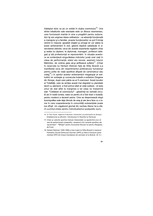înteleptul stoic ca pe un soldat în sluiba cosmosului<sup>16</sup>. Una dintre trăsăturile sale esentiale este un fitness neomenesc. care furnizează matrița în sine a pregătirii pentru acțiune. Aici își are originea ideea celibatului - ca absență funcțională a mariajului și a familiei, proprie funcționarilor ce pot fi trimiși oricînd în misiune; apostolii creștini și urmașii lor vor adera la acest antrenament în exil, găsind deplină satisfacție în exercitarea datoriei; ceva din aceste experiențe regăsim chiar și astăzi la căpitani, la diplomați, manageri, profesori delegați și alți profesioniști ai reprezentării. în situația acestora se evidențiază singurătatea indivizilor jurați unei vieți în clasa de performanță; statul are nevoie, asemeni tuturor Mărimilor, de victime gata să-și jertfească sufletul<sup>17</sup>. (Chiar în rezervele lui Herbert Wehner față de Willy Brandt s-a manifestat ceva din resentimentul politicianului funcționar pentru pofta de viață apolitică afișată de carismaticul său coleg<sup>18</sup>.) în spiritul acestui antrenament megalopat al solitudinii ne vorbește și cunoscuta butadă a exilatului Diogene din Sinope, după care patria sa ar fi cosmosul. Acest locuitor al Totalității, care se simțea acasă mai degrabă cu planetele decît cu atenienii, a fost primul atlet al vietii solitare - el este omul de stat aflat la marginea a tot ceea ce înseamnă stat. "Cetățean al cosmosului" - găselnița sa verbală circulă azi în toată lumea; ceea ce pentru el a fost doar o butadă, pentru moderni a devenit serios. Cine se desemnează drept kosmopolites este deja dincolo de oraș și are de-a face cu o lume în care coapartenența în comunități substanțiale poate lua sfîrșit. Un vagabond glumeț din vechea Atena ne-a oferit cuvîntul-cheie pentru individualismul postpolitic euro-

<sup>16.</sup> Cf. Paul Veyne, Sagesse et altruisme. Introduction à la philosophie de Sénèque [întelepciune și altruism. Introducere în filosofia lui Seneca].

<sup>17.</sup> Chiar și culturile sportive trebuie interpretate ca aparținînd unui cli mat de performanță cvasipolitic; campionii sînt variante apolitice ale "guvernelor" - "Ministri" pentru Aruncarea Discului ori pentru Alergarea de Eond

<sup>18.</sup> Herbert Wehner( 1906-1990) a fost rivalul lui Willy Brandt în interiorul Partidului Social-Democrat German (SPD) și liderul fracțiunii parla mentare SPD dm timpul mandatului de cancelar al lui Brandt. (N. tr.)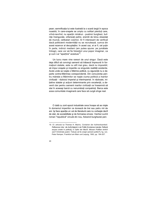pean; semnificația lui este ilustrată la o scară largă în epoca noastră, în care-orașele se umplu cu solitari pierduți care, vrînd-nevrînd, nu aparțin nimănui - pustnici burghezi, bufnițe însingurate, orfanizați psihic, eremiti de birou obsedați de muncă, celibatari cosmici. Ar fi interesant de verificat dacă politicienii modernitătii nu se recrutează, cumva din acest rezervor al decuplatilor; în acest caz, ei ar fi, cel puțin în parte, indivizi mediani (am putea spune; pe jumătate întregi), care vor să fie folositori unui popor imaginar, ca și cum i-ar "aparține" acestuia<sup>19</sup>.

Un lucru mare vine rareori de unul singur. Dacă este deja dificil să convingi oamenii să trăiască împreună în formațiuni statale, este cu atît mai greu, dacă nu imposibil, să impui orașele și imperiile ca singurele realități existente. Acolo unde se ivește o Mărime politică, cu siguranță nu e departe contra-Mărimea corespondentă. Din concurența pentru măreție a Mărimilor se naște ciuma politică a marilor civilizații - războiul imperial și interimperial. în războaie, inițiative statale și acțiuni determinante prin excelență, a devenit clar pentru oamenii marilor civilizații ce înseamnă să stai în aceeași barcă cu nenumărați compatrioți. Barca este acea comunitate imaginară care face să curgă sînge real.

O dată cu zorii epocii industriale ceva începe să se miște în domeniul imperiilor ce durează de trei sau patru mii de ani. își face aparitia un val de literatură care nu vorbește decît de stat, de sociabilitate si de formarea omului. Vechiul cuvînt roman "republică" circulă din nou, folosind burgheziei pen-

<sup>19.</sup> Cf. articolul lui Thomas H. Macho, Container der Aufmerksamkeit. Reflexionen über die Aufrichtigkeit in der Politik [Containerul atenției. Reflecții asupra cinstei în politică], in Opfer der Macht. Müssen Politiker ehrlich sein? IVictimele puterii. Trebuie să fie onesti oamenii politici? l ha, von. Peter Kemper, Frankfurt am Main und Leipzig, 1993, pp. 194-207.

<sup>40</sup>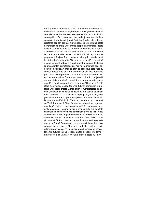tru a-și defini intențiile de a lua totul ca de la început. Se reflectează - acum mai degrabă pe urmele grecilor decît pe cele ale romanilor - la asocierea oamenilor în comunități și se cugetă profund, asemeni unor pedanți care nu știu deocamdată că vor fi revoluționari. Se inițiază o dezbatere despre creșterea copiilor; cel mai mare poet al limbii germane poate deveni faimos grație unei drame despre un infanticid - toate acestea sînt simptome ce-ar trebui să fie suficiente pentru a demonstra că am ajuns la un moment de ruptură, ba chiar la o eră de tranziție. Noua conștiință a lumii capătă formă programatică lajean Paul, Heinrich Heine și în cele din urmă la Nietzsche în afirmația: "Dumnezeu a murit" - o maximă a cărei exegeză trebuie s-o lăsăm pentru moment teologilor și urmașilor lor, psihoterapeuții. Aici ne va interesa doar conotația sa politică. Ajunge să știm că acel ceva care face cu succes epocă ține de sfera afirmațiilor politice, deoarece prin el se reinterpretează statutul lucrurilor la vremea lor. A-I declara mort pe Dumnezeu într-o cultură condiționată de monoteism implică o zguduire a tuturor referințelor și anuntă o nouă formă a lumii. O dată cu "Dumnezeu" este sters si principiul coapartenentei tuturor oamenilor în unitatea unei specii create. Astfel, chiar și numărătoarea calendarului capătă un alt sens: de-acum nu mai ajunge să datăm după Christos - un alt sens al lui "după" pluteste în aer, chiar pentru cei cărora nu prea le-a păsat de vîrsta Domnului. După moartea Fiului, nici Tatăl n-o mai duce mult, iardupă ce Tatăl îi urmează Fiului în moarte, oamenii se regăsesc unul lîngă altul ca o mulțime orfanizată într-un peisaj mondial monstruos - împărțit astăzi în mai mult de 190 de state nationale. în care se vorbesc aproximativ 5100 de limbi (după alte evaluări 2000), în jur de 6 miliarde de indivizi fără nume ori numitor comun. Si nu stim dacă mai putem defini o operă comună fără un creator comun. Postmodernitatea este epoca de "după Dumnezeu", care urmează imperiilor clasice deschise pe alocuri către lume. Cu toate acestea, specia orfanizată a încercat să formuleze un alt principiu al coapartenentei tuturor într-un orizont unitar al epocii moderne drepturile omului, a căror misiune a fost lansată nu întîm-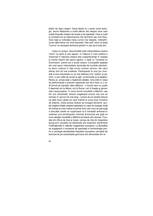plător de foști creștini. Dacă lăsăm la o parte codul teologic, atunci Nietzsche a vorbit efectiv aici despre ceva care umple timpurile noastre de oroare și de speranță. Ceva a murit și urmează să se descompună mai devreme sau mai tîrziu, însă viața și civilizația merg cumva mai departe, îndreptîndu-se către forme noi, încă nenumite. între acel "ceva" și acest "cumva" se situează domeniul gîndirii în cea de-a treia eră.

Ceea ce propun deocamdată este interpretarea acestui "ceva" ca spirit al erei agrare. în măsura în care politica a însemnat în ratiunea clasică arta coapartenentei în orașele si marile imperii ale epocii agrare, o dată cu "moartea lui Dumnezeu" pentru ea a sunat ceasul. Conceptiile spatiale ale unei epoci intermediare dominate de lucrările pămîntului devin caduce în fața noului univers sincron, ale cărui efecte sînt tot mai evidente. Participanții la noul joc mondial al erei industriale nu se mai definesc prin "patrie" și pămînt, ci prin căile de acces la gări, la terminale și la legături. Pentru ei, lumea este o hiperbulă cablată. Cine intră în clasa de performanță a actorilor hiperbulei are de-a face cu o altă formă de tranziție către Mărime - o formă care nu poate fi deprinsă nici la Atena, nici la Roma, nici în liceele și gimnaziile neoeuropene. în noua formă mondială a Mărimii, cea din era industrială, stresul megalopat evocat mai sus se extinde în cercuri tot mai largi - lumea de pe stradă trebuie să aibă acum grijile pe care înainte le avea doar ministrul de externe. Acest proces trebuie să înceapă devreme: școlari englezi întrețin prietenii epistolare cu copii de aceeași vîrstă din Kenya și orice individ al primei lumi care vrea să parcurgă o educatie medie ori superioară va fi inevitabil antrenat în vederea unui plurilingvism minimal. Economia are grijă ca noua situatie mondială a Mărimii să treacă prin stomac. Fructele din Africa de Sud și Israel, carnea de vită din Argentina ajung prin canalele de distributie ale imperiilor alimentare multinationale în rafturile magazinelor europene. La Bruxelles se angajează o companie de specialiști în terminologie pentru a omologa standardele lingvistice europene; pompele de benzină de pe autostrăzile germane sînt alimentate din re-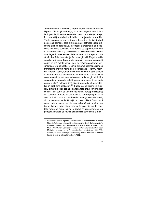zervoare aflate în Emiratele Arabe, Mexic, Norvegia, Irak ori Nigeria. Distribuții, ambalaje, combustii, digestii adună laolaltă populații imense, separate uneori de distanțe uriașe, în comunități metabolice hibride, condiționate de nutriție. Toate acestea au survenit cu puterea inevitabilului, dînd peste cap oamenii, care sînt gata să-și petreacă viața executînd slujbele respective. în stresul planetarizării se negociază noi forme sufletești, care trebuie să capete formă între momentele maniace și cele depresive. Sincronizările laborioase care legau formele sufletești de formele lumii în epoca clasică sînt insuficiente existenței în lumea globală. Megalomaniile de odinioară devin holomaniile de astăzi; clasa megalopată de ieri se află în fața sarcinii de a se reînarma cu forme convingătoare de holopatie. Vechiul și bunul cosmopolitism se transformă într-un nomadism cosmopatic - pentru membrii hipercivilizației, lumea devine un stadion în care trebuie exersată formarea sufletului astfel încît să fie compatibil cu noua lume sincronă. în acest context, turismul global dobîndește o importanță deosebită, pentru că a devenit, cel puțin pentru o clasă holopată încă difuză, un mediu al autodidacticii în problema globalității<sup>20</sup>. Faptul că politicienii în exercițiu sînt atît de rar capabili să facă față provocărilor noilor conditii - din punct de vedere intelectual, aproape niciodată; din cel moral, uneori; iar din punct de vedere pragmatic: se descurcă ei cumva - contribuie la nemulțumirea de masă, din ce în ce mai virulentă, față de clasa politică. Chiar dacă nu se poate spune cu precizie ce-ar trebui să facă ori să schimbe politicienii, orice observator al forfotei din marile capitale moderne simte că nu e destul ca reprezentanții să petreacă lungi zile de muncă prin comisii, dovedind o sîrguin-

<sup>20.</sup> Documente pentru legătura între călătorie și antrenamentul în lumea Mărimii oferă recent, printre alții: Ian Buruma, Der Staub Gottes. Asiatische Nachforschungen ITarina lui Dumnezeu. Cercetări asiaticel. Frankfurt am Main, 1992; Gerhard Schweizer, Touristen und Traumtänzer. Ein Reisebuch [Turisti și dansatori de vis. O carte de călătorie], Stuttgart, 1992; V.S. Naipaul, Im alten Süden fîn vechiul Sud]: Indien. Ein Land in Aufruhr [India. O țară în frămîntare], Köln, 1992.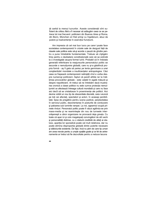ță oarbă la mersul lucrurilor. Aceste considerații sînt suficient de critice,-fără a fi necesar să adăugăm ceea ce se petrece tot mai frecvent: politicieni din Buenos Aires și Roma, din Bonn, München ori Kiel prinși cu înșelăciuni, abuz de putere și inadvertențe în exercitiul functiunii.

Am impresia că cel mai bun lucru pe care-l poate face societatea contemporană în crizele sale de dezqust fată de clasele sale politice este să-si acorde o pauză de gîndire pentru a pune întrebările fundamentale. Trebuie să cîștigăm timp pentru o dezbatere constitutională care să se extindă la o investigatie asupra formei lumii. Probabil că în îndoiala generală referitoare la neajunsurile personalului politic se ascunde o nemultumire globală, care nu și-a găsitîncă propria formă - aș fi gata să pariez pe lenta germinare a unei constientizări mondiale a insuficientelor antropologice. Căci ceea ce frapează contemporanii neliniștiți cînd e vorba despre numeroși politicieni -faptul că parafi atîtde rar la înăltimea provocărilor globale - este valabil în egală măsură și despre nepoliticieni. Ar trebui să ne întrebăm dacă mustrarea cronică a clasei politice nu este cumva proiecția nemultumirii ce afectează întreaga cultură mondială și care nu face aici decît să se cristalizeze în proeminențe ale politicii. Aici devine vizibil un nou tip de obscenitate discretă, care-i aruncă pe toti cei afectati, spectatori și actori, în aceeași penibilitate: lipsa de pregătire pentru scena publică, perplexitatea în serviciul public, dezorientarea în posturile de conducere și paloarea sub luminile rampei. La noi, ageamiul ocupă primele rînduri. Personalul politic poate fi văzut agitîndu-se prin mass-media și ne reamintește din nou de turneele interorășenești a căror organizare ne provoacă deja greața. Cu toate că apar ici și colo megalopați convingători de stil vechi si personalităti distinse, cu o statură credibilă de atleti ai statului, aparitia lor sporadică poate cel mult relativiza, dar nu poate elimina disproporția globală dintre puterile necesare și slăbiciunile existente. De fapt, încă nu știm de care tip uman am avea nevoie pentru a umple spatiile goale și ce fel de antrenamente ar trebui să fie dezvoltate pentru a reduce lacuna

 $\overline{44}$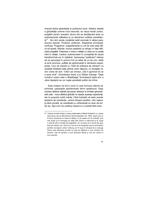imensă dintre globalitate și psihismul local. Atletica statală a globalității ramine încă nescrisă, iar dacă există uneori, pregătiri pentru aceasta, atunci ele se desfășoară doar ca antrenamente sălbatice și ca demersuri solitare autodidacte<sup>21</sup>. Aici sînt cerute constiințe solid ancorate în abisul paradoxului speciei. Profesia: politician. Reședința principală: confuzia. Programul: coapartenența cu cei de care este dificil să aparții. Morala: munca pedantă ca refugiu în fața deficitului pregătirii. Pasiunea: a avea o relație cu ceea ce nu poate intra în relație. Cariera: autorecrutare în cunoștință de cauză transformîndu-se în inițiativă. Asemenea "politicieni" trebuie să se perceapă în primul rînd ca atleți de un tip nou: atleți ai lumii sincrone, suflete de performanță în domeniul coexistenței. Cum să coexist cu 1200 de milioane de chinezi? La această întrebare este permis orice răspuns, cu excepția vechii vorbe de duh: "Uită-i pe chinezi, uită în general tot ce e prea mult". Grandioasa frază a lui Stefan George: "Deja numărul vostru este o fărădelege" formulează ispita prin a cărei depășire se vor naște panatleții politici de mîine.

Este evident că într-o lume în care formula mărimii se schimbă, patologiile apartenenței devin epidemice. Deja vechea atletică statală aiunsese adesea la limitele generalizării sale - noua atletică globală va repeta aceeasi experientă. dar la proportij vizibil mărite. Fără îndoială că toate aceste epidemii de rezistențe, venind dinspre periferii, mici regiuni si sfere private, se manifestă cu vehementă nu doar de jeri. de azi. Asa cum nici politica clasică nu a existat fără rezis-

<sup>21.</sup> Trebuie să luăm foarte în serios observatia lui Mihail Gorbaciov cu ocazia discursului său la Münchener Kammerspielen din 1992, după care ar fi trecut împreună cu soția sa Raisa. în cei sapte ani de mandat, prin mai multe ca în întreaga sa viață; Bill Clinton a mărturisit și el, după o sută de zile în funcția de președinte, că i se pare că a muncit din greu timp de treizeci ani. Daçă ar fi să se scrie biografia muncii activistului pacifist norvegian Johan Caltung, am fi puși în situația de a conjuga istoria unei persoane private cu rata de călătorie a unui ministru de externe, rata de gîndire a unui premiant Nobel și cea de vorbire a unui apostol.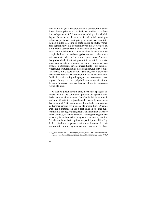tenta triburilor și a hoardelor, cu toate contralumile făcute din anarhisme, privatisme și copilării, nici în viitor nu va functiona o hiperpolitică fără revanșa localului și a individului. Regiuni întinse se vor delimita de dictatul capitalismului globalizat asupra formei lumii, prin greve latente sau manifeste, în mod similar, așa cum se poate vedea de multă vreme, părți semnificative ale populațiilor vor întoarce spatele cu o indiferență dușmănoasă la tot ceea ce e politic. Ar fi indicat să ne pregătim pentru lupte seculare între caracterele și regiunile lumii modernizator-globalizatoare și cele conservator-localiste. Motivul "revoluției conservatoare", care a fost probat de două ori trei generații în mișcările de rezistență catolicizante din centrul și sudul Europei, va face probabil o strălucită carieră interculturală - sub semnele religiosului, culturalismului și regionalismului. într-o lume fără formă, într-o societate fără identitate, vor fi provocate reîntoarceri, reînnoiri și reverențe în masă la vechile valori. Purificări etnice atingînd apogeul în masacrarea unor popoare întregi vor face palpabilă vehemența strigătului de ajutor împotriva pierderii formei politice în numeroase regiuni ale lumii.

O dată cu globalizarea în curs, încep să se spargă și ultimele totalități ale continuului politicii din epoca clasică tîrzie, care au ținut oamenii laolaltă în Mărimea epocii moderne: identitățile național-statale cvasireligioase, care din secolul al XIX-lea au marcat formele de viată politică ale Europei, iar mai tîrziu pe cele ale întregii lumi. Oricît de artificiale si improbabile vor fi fost, chiar în cele mai bune vremuri ale lor, iesirea neasteptată din functiune a acestor forme conduce, în anumite condiții, la dereglări ucigașe. Din constructiile social-uterine imaginare si devastate, multimi fără de număr se lasă cuprinse de panici postpolitice<sup>22</sup> și de decrepitudine - iar pentru acestea numele comun de postmodernitate ramine expresia cea mai civilizată. Acelasi

<sup>22.</sup> Cf.jean-P'ierreDupuy, La Panique [Panica], Paris, 1991; Hermann Broch, Massenwahntheorie [Teoria nebuniei de masă], Frankfurt am Main, 1979.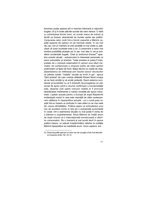fenomen poate apărea atît in treimea inferioară a națiunilor bogate, cît și în toate păturile sociale ale celor sărace. O dată cu schimbarea formei lumii, un număr imens de indivizi și familii se trezesc abandonați de bunele spirite ale politicii. Conjurarea celor mulți într-o formă coerentă a Mărimii capătă aspecte de sperjur ori de hipnoză ratată. în cel mai rău caz, nici un membru al unei societăți nu mai crede cu adevărat că acea societate este a sa. O presimțire a celor mai sinistre posibilități plutește azi în aer, mai ales în cel al emisferei occidentale bogate. Chiar și sindromul Krause<sup>23</sup> aparține acestei situații - autoservirea în interesele personale ca semn prevestitor al anarhiei. Toate acestea ar putea fi interpretate de o manieră sistematică în sensul unui efect inevitabil, de contaminare a cîmpului politic de către spiritul postmodern al lipsei de fond. Statul devine un castel de nisip, absenteismul se infiltrează prin fisurile tuturor structurilor ce păreau solide, "rotițele" sociale se învîrt în gol - epoca "fără sinteză" de care vorbise altădată Robert Musil începe să se facă simțită și să emită pretenții. Dacă sistemul occidental al bunăstării nu ar fi dobîndit recunoasterea ca uter social de ajutor printr-o anume confirmare a functionalitătii sale, absența unei opere comune vizibile ar fi provocat destrămarea instantanee a marilor societăti ale epocii industriale. Luptele actuale pentru o Europă de după Maastricht evidentiază modul în care este resimtită de către contemporani călătoria în hiperpolitica actuală - ca o cursă prea rapidă într-un imperiu ai confuziei în care statul nu se mai vede din cauza oficialităților. Politica apare ca echivalentul unui risc de accident cronic în lanț pe o autostradă scufundată în ceată. într-o asemenea situatie nu mai poate fi vorba de o plăcere a coapartenentei. Noua Mărime se înaltă acum de după orizont ca o internatională monstruoasă a ultimilor consumatori. De o manieră și mai acută decît în epoca politicii clasice, un adevăr înspăimîntător referitor la unitătile Mărimii hiperpolitice se manifestă acum: homo sapiens, ani-

<sup>23.</sup> Personaj politic german al cărui caz de coruptie a fost mult discutat la începutul anilor '90, (N, tr)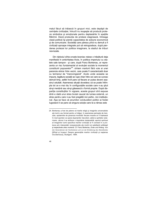malul făcut să trăiască în grupuri mici, este depășit de cerințele civilizației, întrucît nu reușește să producă proteze simbolice și emoționale pentru deplasările în spațiile Mărimii. Dacă producția de proteze stagnează, întreaga clasă politică își pierde capacitatea de acțiune economică și de comunicare. Societăți care păreau pînă nu demult a fi civilizații aproape integrate pot să retrogradeze, după pierderea protezei lor politice imaginare. la stadiul de triburi nevrozate.

Din războiul sîrbo-croato-bosniac reiese o trăsătură deja manifestă în antichitatea tîrzie, în politica imperiului cu statele sale tampon - și care, după Franz Borkenau, ar reprezenta un risc fundamental al evoluției sociale la momentul constituirii popoarelor<sup>24</sup>: sîntem martorii fără voie ai unei paranoia etnice între vecini, care poate fi caracterizată doar cu termenul de "merovingiană". Acolo unde aceasta se impune, legătura socială se rupe chiar între cei care se cunosc demult timp, astfel încît pare că fiecare ar putea deveni asasinul celuilalt. Asemenea situații dovedesc că se poate întîmpla tot ce e mai rău în configurațiile sociale care n-au știut să-și mențină sau să-și găsească o formă proprie. După dispariția constituțiilor în vigoare, aceste grupuri sînt expuse dintr-o dată unui stres brutal cauzat de lumea externă, un stres pentru care n-au fost pregătiți nici psihic, nici instituțional. Așa se face că anumitor conducători politici ai fostei Iugoslavii li se pare că singura solutie care le-a rămas este

<sup>24.</sup> Borkenau a fost de părere că marile religii și imaginile universaliste ale lumii s-au format pentru a îndigui, în asemenea perioade de tranziție, epidemiile de paranoia morbidă: fiecare moarte ar fi înteleasă în mod spontan ca opera dușmanilor răuvoitori, adică a spiritelor exterioare, cărora li se atribuie o dusmănie implacabilă; aportul spiritual al imaginilor lumii specifice marilor civilizatii ar fi constat în a produce prin interpretări nonparanoide ale morții noi satisfacții sufletești și respectivele artes moriendi. Cf. Franz Borkenau, Ende und Anfang. Von den Generationen der Hochkulturen und von der Entstehung des Abendlandes [Sfîrșit și început. Despre generațiile marilor civilizații și nașterea Occidentului], Stuttgart, 1984.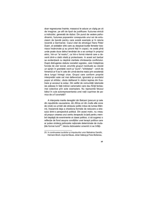doar regresiunea înainte; masacrul le aduce un cîștig pe cit de imaginar, pe atît de lipsit de justificare: fuziunea etnică a indivizilor, generată de război. Din punct de vedere psihodinamic, fuziunea popoarelor corespunde unui soi de entuziasm de bandă pentru care există exemple și în istoria recentă a Germaniei. Cazul citat de etnologul Hans Peter Duerr, al soldaților sîrbi care au despicat burțile femeilor bosniace însărcinate și au pironit feții în copaci, ne arată pînă unde poate duce delirul tendinței de a se contopi în propriul etnic, într-un "al nostru", ca într-o formă internă care a devenit dintr-o dată vitală și protectoare. In acest act barbar se evidențiază cu deplină claritate chintesența conflictului. După distrugerea statului socialist iugoslav, care îndeplinea funcția de uter social, anumite grupuri reziduale au căutat un sprijin în granițele vechi și "pure"; "sîrbitatea" - oricît de himerică ar fi ea în cele din urmă-devine realul prin excelență de-a lungul întregii crize. Grupul care conform propriei interpretări este cel mai defavorizat, ignoratul și avortatul popor al sîrbilor, căuta deliberat în război ieșirea din frustrare si accesul la extaz. Din astfel de comunităti isterizate ies adesea în fată indivizi carismatici care dau fiintă fantasmei colective prin acte exemplare. Nu reprezintă fetusul bătut în cuie autoreprezentarea unei natii cuprinse de panica de a fi avortată?

A interpreta marile dereglări din Balcani (precum și cele din republicile caucaziene, din Africa ori din multe alte zone de criză) ca urmări ale stresului politic indus de lumea Mărimii, înseamnă deja a chestiona formele de reducere a stresului dintr-o perspectivă politică. Din acest motiv, nu vreau să propun crearea unui centru terapeutic la țară pentru membrii depășiti de evenimente ai clasei politice, ci să sugerez o reflectie de fond asupra conditiilor unei terapii politice care ar putea vindeca psihozele nationale determinate de mutatiile formei lumii<sup>25</sup>. Istoria războaielor omenirii ni se înfăti-

<sup>25.</sup> în continuarea lucrărilor și impulsurilor unor Mahatma Gandhi. Hermann Broch, Lloyd de Mause, Johan Galtung și Franz Borkenau,

<sup>49</sup>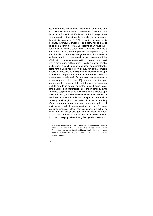șează sub o altă lumină dacă facem conexiunea între anumite războaie (sau tipuri de războaie) și crizele implicate de mutațiile formei lumii. Evidența istorică îl învață pe fiecare observator că a fost nevoie ca unele grupuri de oameni din regiunile de pionieri să călătorească în derivă pe vechile lor plute, în timpul ultimilor trei sau patru mii de ani, ca să se poată constitui formațiuni flotante la un nivel superior. Astfel s-a ajuns la stadiul tribal al evoluției. Triburile și formațiunile tribale, adică popoarele, sînt hiperhoarde, sau mai bine zis hoarde integrate, ținute laolaltă prin ceea ce se desemnează cu un termen atît de gol conceptual și totuși atît de plin de sens cum este civilizația. în acest sens, civilizațiile sînt mărimi politice perse - medii ale artei improbabilului dar și a posibilului, arta edificării de suprastructuri peste formațiunile hoardelorin derivă. Am putea compara culturile cu procesele de impregnare a stofelor sau cu diapazoanele folosite pentru aducerea instrumentelor diferite la aceeași tonalitate de bază. Cel mai exact, am putea descrie cultura ca pe un set de sonorități care acordează coapartenența pentru ca populațiile să interpreteze împreună. Limbile se află în centrul culturilor, întrucît permit celor care le vorbesc să interpreteze împreună în concertul lumii. Deoarece coapartenența este sinonimă cu întreținerea speranțelor de viață, dezacordurile care survin în cutiile de rezonanță etnice prezintă de ia bun început un potențial de pericol și de violență. Cultura înțeleasă ca datorie include și efortul de a menține continuul etnic - mai ales prin limbi, grație componentelor lor prozodice și performative. De aceea, s-ar putea crede că, în fond, continuul poporului și cel al limbii ar fi unul și același lucru (dar nu sînt). Repetitia omului prin om, care ar trebui să rămînă de-a lungul vremii în primul rînd o chestiune proprie hoardelor și formațiunilor succesoare,

s-ar putea pune întrebarea asupra functionării, atît latente, cît și manifeste, a sistemelor de nebunie colectivă, în trecut și în prezent. Elaborarea unei psihopatologii politice ar urmări dezvoltarea conexiunii dintre crizele psihice și mutațiile formei lumii, pe baza studiilor de caz istorice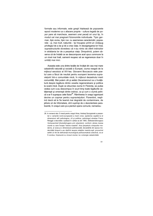formale sau informale, este greșit înțeleasă de popoarele epocii moderne ca o afacere proprie - cultura legată de popor pare să marcheze, asemeni unei peceți ori unui tip, în modul cel mai pregnant fizionomiile individuale. Tipic german, tipic evreu, tipic rus: cu asemenea caracterizări, popoarele - și, mai mult, națiunile - își însușesc printr-un vicleșug privilegiul de a da și de a crea viața. în dezagregarea lor însă, suprastructurile dovedesc că n-au nimic de oferit indivizilor in strădania lor de a perpetua viața. Dimpotrivă, putem observa că de îndată ce se descompune acel opus commune la un nivel mai înalt, oamenii reușesc să se regenereze doar în unități mai mici.

Aceasta este una dintre lecțiile de învățat din cea mai mare catastrofă naturală și socială a Europei, ciuma neagră de la mijlocul secolului al XIV-lea. Giovanni Boccaccio este poetul care a făcut de neuitat pentru europeni teorema supraviețuirii într-o comunitate mică, în mijlocul dezastrului marii comunităti. Mai putem citi și astăzi Decameronul ca o învătătură despre legătura dintre veselia regeneratoare și politica la scară mică. După ce izbucnise ciuma în Florența, se putea vedea cum s-au descompus în scurt timp toate legăturile cetătenești și omenești dintre indivizi, ca și cum o ciumă psihică s-ar fi suprapus celei fizice<sup>26</sup>. Rămînerea în orașul agonizant devine un coșmar pentru supraviețuitori. Florentinii, neștiind dacă să le fie teamă mai degrabă de contaminare, de jefuire ori de înfometare, sînt cuprinsi de o dezorientare paralizantă, în orașul care și-a pierdut opera comună, nemaireu-

<sup>26.</sup> In romanul său O mesă pentru orașul Arras, Andrzej Szczypiorski a prezentat o variantă nord-europeană a marii crize; epidemia capătă la el dimensiuni atît psihologice, cît și politice; psihologul elvețian Franz Renggli a dezvoltat o ipoteză în cartea sa din 1993, Selbstzerstörungaus Verlassenheit [Autodistrugere prin abandon], conform căreia marea ciumă cu care începe "istoria noastră", frica perpetuă a timpurilor moderne, ar avea si o dimensiune psihosocială: devastările din epoca modernității timpurii s-au răsfrînt asupra relațiilor mamă-copil, provocînd astfel un fel de deficientă imunologică psihosomatică colectivă, ce ar fi condus, împreună cu virusul ciumei, la o sinergie catastrofală.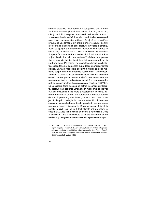șind să protejeze viața decentă a cetățenilor, dintr-o dată totul este zadarnic și totul este permis. Subiecți atomizați, căzuți pradă fricii, se pitesc în casele lor ori bîntuie pe străzi. In această situație, o tînără femeie preia inițiativa, convingînd şase dintre prietenele ei și trei tineri bărbați să se retragă împreună pe un domeniu din afara porților orașului, pentru a se salva și a aștepta sfîrșitul flagelului în voioșie și omenie. Astfel se ajunge la aranjamentul memorabil care formează cadrul cărții dezece-ori-zece povești a lui Boccaccio. în această operă fundamentală a umanismului, frivolitatea intră în slujba chestiunilor celor mai serioase<sup>27</sup>. Şeherezada povestise cu miza vieții ei, iar tinerii florentini, care s-au adunat în jurul grațioasei Pampinea, ne povestesc despre posibilitatea coapartenenței oamenilor după descompunerea formei politice. Ei incarnează lecția decisivă a tuturor științelor moderne despre om: o dată distruse vechile ordini, arta coapartenentei nu poate reîncepe decît din ordini mici. Regenerarea omului prin om presupune un spațiu în care coexistența dă naștere unei lumi noi. In flecăreala eutonică a celor zece refugiați se conservă întregul sociocosmos al secolului al XIV-lea. La Boccaccio, toate acestea se petrec în condiții privilegiate, desigur, căci salvarea umanității în micul grup de indivizi civilizați presupune: o vilă mare și răcoroasă în Toscana, camere individuale pentru toți participanții, condiții optime de muncă pentru toți acești tineri, servitori docili care protejează idila prin prestațiile lor, toate acestea fiind întretesute cu comportamentul urban al tinerilor patricieni, care savurează muzica și convorbirile galante. Dacă scena s-ar fi jucat în secolul al XVIII-lea, ea ar fi fost plasată într-un salon; în secolul al XIX-lea într-o colonie de boemi si reformisti ai vietii: în secolul XX, într-o comunitate de la tară ori într-un loc de meditație și retragere. în această scenă se poate recunoaște

<sup>27.</sup> Kurt Flasch a demonstrat, în frumosul său comentariu la introducerea si primele patru povestin ale Decameronului, la ce nivel trebuie interpretată salvarea poetică a umanității de către Boccaccio: Kurt Flasch, Poesie nach der Pest. Der Anfang des Decameron [Poezie după ciumă. începutul Decameronului], Mainz, 1992.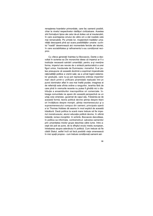renasterea hoardelor primordiale, care fac oamenii posibili, chiar la nivelul respectivelor răsfățuri civilizatoare. Acestea sînt formațiuni tipice ale celui de-al doilea val al insulanzării, în care avantajarea omului de către om a dat roadele cele mai remarcabile. Pe urmele lor, mostenitorii traditiilor umanitătii descoperă pînă azi scara posibilitătilor umane: cuvîntul "roadă" desemnează aici momentele fericite ale istoriei. în care sociabilitatea si rafinamentul s-au conditionat reciproc.

Cu cîteva generații înaintea lui Boccaccio, Dante a dezvoltat în scrierea sa De monarchia ideea că imperiul ar fi o instituție necesară salvării umanității; pentru a-și menține forma, imperiul are nevoie de o sinteză pantocratică a unei figuri unice, înscăunate de Dumnezeu: monarhul. S-ar putea presupune că această doctrină a exprimat imperativele raționalității politice a vremii sale; ea a urmat logicii sistemelor graduale, care nu-și pot reprezenta ordinea imperiilor mari decît printr-o unificare piramidală realizată într-un punct dominator aflat în cea mai înaltă poziție; imaginea ei de referință este sfinta ordine a rangurilor, ierarhia fără de care pînă în vremurile recente nu putea fi gîndită nici o distribuție a ansamblurilor macropolitice ori comerciale. întreaga comunitate ne apare din această perspectivă ca un urias corp omenesc, guvernat de capul său. Folosindu-se de această formă, teoria politică devine știința despre titani ori învătătura despre monstri, stiinta neomenescului și a supraomenescului compus din oameni; principala operă a lui Thomas Hobbes dă seama în mod explicit de această trăsătură. Dacă politica la scară mare trebuie să fie imperiul monstruosului, atunci educația politică devine, în ultimă instanță, lumea monștrilor. In schimb, Boccaccio dezvoltase, în politica sa informala, contramotivul: salvarea oamenilor prin umanitatea micilor grupe deschise către lume. între acesti doi poli se pune, de la sfîrsitul evului mediu european. întrebarea asupra adevărului în politică. Cum trebuie să fie clădit Statul, astfel încît să facă posibilă viata omenească în mici spatii propice - cum trebuie conditionati oamenii ast-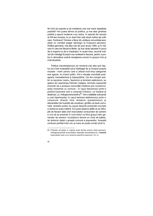fel încît să suporte și să modeleze cea mai mare statalitate posibilă? Am putea afirma că politica, și mai ales gîndirea politică a epocii moderne s-au redus, în special din secolul al XIX-lea încoace, la un duel între cele două motive de unificare. Ferdinand Tönnies a făcut din antiteza comunitate-societate un veritabil slagăr ideologic la începutul secolului. Politica germană, mai ales cea din jurul anului 1900, și în măsura în care era făcută la Berlin, își mai căuta salvarea în jocuri de-a imperiul și de-a împăratul; în acest timp, anumiți indivizi din întreaga Europă s-au revărsat la Ascona, pentru a proba în atmosfera sudică renașterea omului în grupuri mici și individualiste.

Politica industrialismului se remarcă mai ales prin faptul că a fost incapabilă să-și înțeleagă de la început propria noutate - motiv pentru care a utilizat mult timp categoriile erei agrare, la nivelul politic, într-o situație mondială postagrară, transatlantică și hiperpolitică. Cei doi monștri politici ai secolului nostru, fascismul și leninism-stalinismul, au apărut din asemenea Întîrzieri maligne. Amîndoi reprezintă încercări de a produce comunităti moderne prin scurtcircuitarea monarhiei cu comuna - în cazul fascismului printr-o politică fuzionară care a conectat Führerul, ca împărat al destinului, cu Volksgemeinschaft-ul<sup>2S</sup>, într-o totalitate sufocantă a unei hiperhoarde; în cazul leninism-stalinismului printr-o conexiune directă între dictatură (parațarismul) și elementele (de hoardă) ale sovietului, gîndite ca bază comunală. Ambele politici au esuat datorită projectării eronate a micimii la scara mărimii. S-a putut observa astfel ce se întîmplă de fiecare dată cînd macrostatul consumator de oameni a vrut să se prezinte în mod direct ca fiind grupul intim generator de oameni: incubatorul devine un cîmp de bătaie, iar teritoriul statal o groapă comună a popoarelor. Această confuzie perfidă între mic și mare se poate urmări pînă în

<sup>28.</sup> Preferăm să lăsăm în original acest termen propriu limbii germane. Volksgemeinschaft (comunitatea natională) accentuează de o manieră naționalistă ceea ce ar însemna specificul poporului. (N. tr.)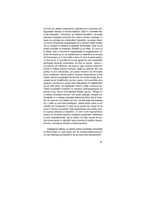cel mai mic detaliu deopotrivă în gîndirea și în acțiunea protagoniștilor fasciști și leninist-staliniști. Deja în cuvintele-cheie ale mișcărilor, "comunism" și "national-socialism", se poate percepe amăgirea profundă din miezul acestor ideologii. In ceea ce-i privește pe conducătorii mișcărilor, se poate observa că au compensat incapacitatea de a rezolva marile probleme cu refugiul în sisteme și ideologii demențiale; ceea ce se poate constata la împăratul Wilhelm și la Hitler, la Lenin și la Stalin, este o revenire a megalopatiei la megalomanie. Indivizi de acest tip nu se îngrijorează cu adevărat ia anunțul că Dumnezeu ar fi mort atîta vreme cît sînt ei acolo pentru a-i ține locul. In tranziția de la era agrară la cea industrială, psihopații deveniți conducători de stat au șansa - tipică unorvremuri de interimat- să pună la cale confuzii colective. Avînd în vedere aceste încercări, ratate cu aplomb, ale unei politici în era industrială, am putea îndrăzni să formulăm teza următoare: istoria politicii recente (postciasice) a fost mereu istoria unorgreșeli de format. Am putea trage din aceasta două învățăminte: pe de o parte, că încercările de a produce comuna la o scară mare debusează în totalitarisme: pe de altă parte, că neglijarea micilor unităti conduce inevitabil societătile moderne la impasuri psihopatologice pe termen lung. Atunci cînd Michael Walzer spune: "Stinga nu a înteles niciodată triburile", am putea adăuga: dreapta nationalistă nu a înteles niciodată diferenta dintre stat și hoardă. Iar ceea ce n-au înteles nici una, nici alta este circumstanta că, o dată cu zorii erei postagrare, relația dintre mare și mic solicită noi configurări în care să se poată trăi. Ceea ce se cere în "teorie și practică" este implantarea unei politici pentru epoca sfîrsitului imperiilor. O vom numi hiperpolitică. pentru că se poate observa cresterea pretentiilor referitoare la arta coapartenentei: dar si pentru că este nevoie de putină ironie pentru a zgîndări nervul central al politicii clasice, anume, simularea statală a hiperhoardelor.

întelegerea faptului că alianta dintre societatea industrială si democratie nu este deloc atît de indestructibilă precum ar vrea ideologii occidentali le dă de ceva timp teoreticienilor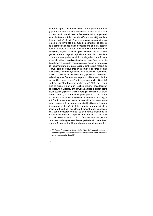liberali ai epocii industriale motive de supărare și de îngrijorare. Supărătoare este societatea proastă în care capitalismul cinstit pare să intre de fiecare dată cînd reușește să se implanteze - atît de bine, de altfel - în societăți semifeudale și dictaturi<sup>29</sup>; îngrijorătoare este presupunerea că ar putea să existe limite ale exportului democrației și că șansele de a democratiza societățile noneuropene ar fi mai scăzute decît ar fi îndrăznit să admită cineva din tabăra celor bine intenționați. Aș dori să exprim ipoteza că despărțirea pseudogemenilor democrație și capitalism nu are nimic de-a face cu introducerea parlamentului și a alegerilor libere în anumite state africane, asiatice și sud-americane. Ceea ce împiedică democratizarea în sens occidental în multe țări pe cale de industrializare din afara Europei sînt relicve masive de "culturi" care se supun încă în trăsăturile lor fundamentale unor principii ale erei agrare sau chiar mai vechi. Fenomenul este bine cunoscut în zonele catolice și provinciale ale Europei -găsindu-și manifestarea ideologică și politică exemplară în "revoluțiile conservatoare" și integrismele anilor '20 și '30. Să luăm următorul caz: chiar dacă după 1933 ar fi continuat să existe în Berlin un Reichstag liber și dacă locuitorii din Freiburg-în-Breisgau ar fi putut să participe la alegeri libere, egale, secrete și publice, Martin Heidegger, ca să dăm un exemplu de pomină, n-ar fi devenit, presupunînd că ar fi votat, un democrat în sensul liberalismului triumfător. Și totuși, el ar fi fost în stare, spre deosebire de mulți antimoderni viscerali din lumea a doua sau a treia, să-și justifice motivele antidemocratismului său în fața liberalilor pragmatici, dacă aceștia ar fi vrut să-l asculte; ar fi lămurit, printr-un discurs clar, poate boscorodind nitel, că democratia înseamnă într-adevăr suveranitatea poporului, dar, în fond, nu este decît un cuvînt conspirativ ascunzînd o fatalitate încă neînteleasă. care vizează distrugerea celui ce se pretinde a fi conducătorul: poporul în sensul traditional și premodern al termenului.

<sup>29.</sup> Cf. Francis Fukuyama, Sfirsitul istoriei: "Nu există un motiv determinat economic pentru care industrializarea avansată ar trebui să aibă ca urmare democratia liberală".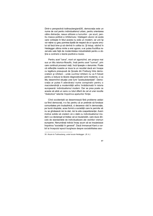Dintr-o perspectivă todtnaubergiană30, democrația este un nume de cod pentru individualismul urban, pentru orientarea către distracție, reaua utilizare a lucrurilor - pe scurt, pentru masca politică a nihilismului. înțelegem atunci că acela care vorbeste în felul acesta nu este un modern, jar unii îsi vor retine cu greu pornirea lipsită de respect de a-i spune omului să facă bine și să rămînă în coliba lui. Și totuși, văzînd în Heidegger ultima minte a erei agrare, s-ar putea fructifica rezervele sale fată de modernitatea industrialistă pentru a obține a contrario o teorie pozitivă a noului.

Pentru acel "ceva", mort ori agonizînd, am propus mai sus un titlu istorico-filosofic, însă pentru acel "cumva", prin care continuă procesul vieții, încă lipsește o denumire. Poate că reflecțiile noastre ar duce la un rezultat dacă am începe cu legătura presupusă de Școala din Freiburg între democratism și nihilism - unde cuvîntul nihilism nu va fi folosit pentru a reduce la tăcere diagnosticele lumii moderne, ci ca titlu desemnînd situația unei lumi "postsubstanțiale". Democrația ar putea fi adevăratul nume conspirativ pentru o macrotendință a modernității adînc înrădăcinată în istoria europeană: individualismul modern. Dar se prea poate ca acesta să aibă un sens cu totul diferit de cel al unei revolte "diabolice" latente împotriva apelurilor ființei.

Cînd occidentalii se desemnează fără probleme astăzi ca fiind democrați, n-o fac pentru că ar pretinde să fondeze comunitatea prin trudazilnică, ci deoarece văd în democrație, pe bună dreptate, acea formă a societătii care le permite să nu se gîndească nici la stat, nici la arta coapartenentei. Avem motive solide să credem că o dată cu individualismul modern s-a declansat al treilea val ai insularizării, care duce dincolo de standardele de individualizare ale vechilor vremuri europene. Nenumărati indivizi încep acum să se insularizeze împotriva "societătii în general". Dacă Immanuel Kant a vorbit la începutul epocii burgheze despre sociabilitatea aso-

<sup>30.</sup> Aluzie la Todtnauberg, unde locuia Heidegger. (N. tr.)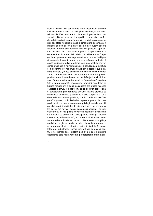cială a "omului", cei doi sute de ani ai modernitătii au oferit suficiente repere pentru a deslusi aspectul negativ al acestei formule. Democrația ar fi, din această perspectivă, consensul politic al nesociabililor apolitici. Un număr crescînd de indivizi solitari plutesc în derivă, urmînd logica raporturilor societății industriale, către o singurătate secundară în mijlocul semenilor lor, a cărei calitate n-o putem descrie folosind termeni (cu conotații morale) precum "apolitic" sau "asocial". Am putea avea impresia că apartamentul cu o cameră ar fi focarul civilizației și că celibatarul ar fi apogeul unui proces antropologic de rafinare care se desfășoară de peste două mii de ani; o numim rafinare, cu toate că există suficiente indicii grăitoare pentru a postula convergența crescîndă a rafinamentului și a abrutizării, a răsfățului și a disperării. Tot mai mulți indivizi pot fi descriși după maniera de viață și după conștiința de sine ca insule nomadizante. în individualismul de apartament al metropolelor postmoderne, insularitatea devine definitia individului însusi. Să ne amintim că termenul de "insularizare" exprima. într-o primă instanță, secesiunea omenirii hoardelor de bătrina natură; prin a doua insularizare am înteles folosirea civilizată a omului de către om, tipică societătilorde clasă, si caracterizată prin scindarea evolutiei în zone ofensive cu mari sanse de succes si culturi defensive pauperizate. Ce-a de-a treia insularizare produce, pornind de la insulele "bogate" în sanse, un individualism aproape postsocial, care produce și pretinde la scară mare privilegii sociale, condiții ale distanțării individului de sistemul care l-a produs. Al treilea val are nevoie, pentru construcția societății, de indivizi care au tot mai putină nevoie de societate. Socialismul s-a înfăptuit ca asocialism. Conceptul de referintă al teoriei sistemelor. "diferentierea", nu poate fi folosit doar pentru a caracteriza subsisteme precum politica, economia, stiinta, medicina, religia, educatia, sportul, circulatia și dreptul, ci si pentru constituirea sferei proprii a individului în societatea erei industriale. Fiecare individ tinde să devină pentru sine tocmai acel "sistem psihic" pe care-l prezintă descrierile cele mai avansate: pe traiectoria diferentierii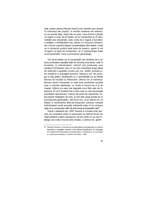sale, putem asemui fiecare individ unei rachete care zboară în cosmosul său propriu. în teoriile moderne ale sistemului se anunță deja, după cîte se pare, noua formă a gîndirii ca logică a celui de-al treilea val al insularizării și al raționalitătii erei industriale; este vorba de o logică a funcțiilor, a relatiilor, a fluidificărilor sau, pentru a-l urma pe Luhmann, de o formă a gîndirii despre complexitatea fără repere. Ceea ce în domeniul politicii este lipsa de imperiu, apare în cel al logicii ca lipsă de fundament, iar în antropologie drept criză parentală, criză a principiului genealogic.

Cel de-al treilea val al insularizării are tendința de a reduce prioritatea repetiției față de înnoirea procesului vieții în societate. In individualism, indivizii sînt produsele unor narațiuni formatoare care nu se mai orientează după ideea de referință a repetiției omului prin om. Astfel, evoluția lumii moderne a îmbogățit teorema "ultimului om" din prologul la Așa grăit-a Zarathustra cu o semnificație ce se întinde dincolo de intuițiile lui Nietzsche. Ultimul om al individualismului epocii industriale nu este doar pozitivistul sociabil care a inventat satisfacția, cu micile ei bucurii de zi și de noapte. Ultimul om este mai degrabă omul fără cale de întoarcere. El va fi încadrat într-o lume care nu mai recunoaște prioritatea reproducerii. Indivizi de acest tip reprezintă, după propria înțelegere de sine, și mai ales după poziția lor în succesiunea generațiilor, atît omul nou, cît și ultimul om. Ei trăiesc în sentimentul fără-de-întoarcerii; individul complet individualizat caută senzația suficientă sieși; el își conduce viata ca un consumator ultim de sine însuși și al șanselor sale<sup>31</sup>.

După o statistică din 1993, fiecare al cincilea tînăr german se consideră artist ori apreciază ca optimă forma de viată artistică; putem presupune că prin artist nu se mai întelege cel a cărui muncă este creația, ci ultimul om, glorifi-

<sup>31.</sup> Gerhard Schulze a încercat să conceptualizeze senzaționalul ca noțiune descriptivă a societăților moderne în Die Erlebnis-Gesellschaft. Zur Soziologie der Gegenwart [Societatea senzationalului, Contributii la o sociologie a contemporaneității], Frankfurt am Main, 1992.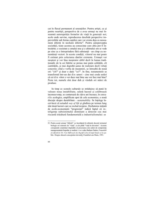cat în fluxul permanent al senzațiilor. Pentru artiști, ca și pentru neartiști, perspectiva de a avea urmași nu mai înseamnă autorepetiția formelor de viață în generații noi; acolo unde survine, reproducerea deschide perspective imprevizibile sub forma copiilor care vor exista deja ca neooameni diferiți în neolumi diferite<sup>12</sup>. Pentru autopercepția societății, toate acestea au consecințe care abia pot fi întrezărite; o societate a omului nou și a ultimului om se vede pe sine ca o întreprindere fără substanță - un cîmp cu nenumărați vectori. în aceste condiții, viitorul nu mai poate fi estimat prin colectarea datelor existente. Urmașii vor moșteni și vor lăsa moștenire altfel decît în lumea tradițională; de la cei bătrîni se preiau mai puțin calitățile, cît cantitățile, și mai degrabă șanse de realizare decît virtuți concrete; cînd e vorba de moșteniri, se întreabă de nouă ori: "cît?" și doar o dată: "ce?". In fine, testamentele se transformă într-un dat din umeri - cine mai crede astăzi că cei din viitor o vor duce mai bine sau vor face mai bine? Peste tot, numele sînt doar duh și văzduh ori mărci de produse.

In timp ce scenele culturale se străduiesc să pună în valoare noua instabilitate, salută haosul și celebrează inconsecvența, se conturează de cîțiva ani încoace, în cercurile ecologice, amplificate apoi de cele economice, o nouă discutie despre durabilitate - sustainability. Se înțelege încet-încet că actualul way of life și gîndirea pe termen lung sînt două lucruri care se exclud reciproc. Dezbaterea inițiată de ecolo-economiștii "progresiști" indică faptul că inteligenta subsistemului dominant a detectat cea mai riscantă trăsătură fundamentală a industrialismului: se

<sup>32.</sup> Pentru acești urmași "diferiți" s-a încetățenit în ultimele decenii termenul biologic ori sistemic de "viată", ca de pildă "viată în devenire". Aceasta corespunde constiinței răspindite că procrearea este astăzi de competența managementului biopsihic și medical. A se vedea Barbara Duden, Frauenleib als öffentliche Ort. Vom Mißbrauch des Begriffs Leben [Corpul femeii ca loc public. Despre abuzul conceptului deviată], Frankfurt am Main, 1991.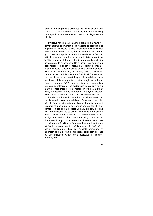permite, în mod prudent, afirmarea ideii că sistemul în totalitatea sa se înrădăcinează în ideologia unei productivități nonreproductive - variantă economică a diagnosticului nihilist.

Procesul industrial la scară mare distruge mai multe "rezerve" naturale și omenești decît reușește să producă și să regenereze. în acest fel, el este autogenerator ca un cancer, creator ca un foc de artificii, productiv ca o cultură de droguri. Ceea ce timp de peste două sute de ani a fost sărbătorit aproape unanim ca productivitate umană, se înfățișează astăzi tot mai mult prin latura sa distructivă și generatoare de dependență. De-a lungul unei serii întregi degenerații, cele relativ conservatoare, relativ econoame, relativ modeste au fost înlocuite de cele tinere, mai hedoniste, mai consumatoare, mai transgresive - o secvență care ar putea porni de la tineretul Revoluției Franceze sau cel mai tîrziu de la tineretul epocii industrializării și al revoltelor vitaliste împotriva lumilor burgheze paterne. Ceea ce sare mai întîi în ochi la ultimul om - singuraticul fără cale de întoarcere - se evidentiază treptat și la nivelul mărfurilor fără întoarcere, al materiilor brute fără întoarcere, al speciilor fără de întoarcere, în sfîrșit al biotopurilorși atmosferelor fără întoarcere. Privind ultimele lucruri și ultimele naturi, ultimii oameni nu pot să nu tragă concluziile care-i privesc în mod direct. De aceea, hiperpolitică este în primul rînd prima politică pentru ultimii oameni. Organizînd posibilitățile de coapartenență ale ultimilor oameni, ea trebuie să respecte un pariu ale cărui pretentii sînt fără precedent; ea se află în fata datoriei de a face din masa ultimilor oameni o societate de indivizi care-și asumă poziția intermediară între predecesori și descendenți. Societatea hiperpolitică este o comunitate de pariori care vor să joace și în viitor pe îmbunătătirea lumii; ea trebuie să învețe un procedeu de a cîștiga în așa fel încît să fie posibili cîștigători și după ea. Aceasta presupune ca hiperpolitică să devină continuarea paleopoliticii, însă cu alte mijloace. Chiar într-o societate a "ultimilor" oameni, arta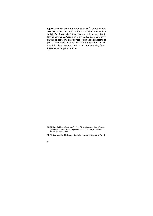repetiției omului prin om nu trebuie uitată<sup>33</sup>. Cartea despre cea mai mare Mărime în ordinea Mărimilor nu este încă scia mai mare mainine in ordinea mainmor nu este mea<br>scrisă. Dacă și-ar afla într-o zi autorul, titlul ei ar putea fi:<br>Hoarda deschisa și dușmanii el<sup>34</sup>. Subiectul său ar fi privilegierea<br>omului de către om, și ar povesti pe o aventură de mecenat. Ea ar fi, ca testament al animalului politic, romanul unei specii foarte vechi, foarte înțelepte - și în plină rătăcire.

<sup>33.</sup> Cf. Sara Ruddick, Mütterliches Denken. Für eine Politik der Gewaltlosigkeit [Gîndire maternă. Pentru o politică a nonviolenței], Frankfurt am Main/New York, 1993.

<sup>34.</sup> Aluzie la opera lui K.R. Popper, Societatea deschisă și dușmanii ei. (N. tr.)

 $62$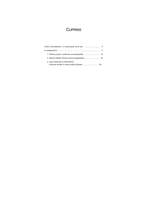### **CUPRINS**

| 3. Lipsa imperiului și hiperpolitica. |  |
|---------------------------------------|--|